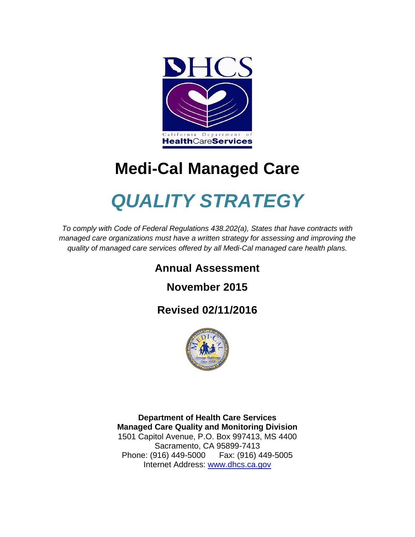

# **Medi-Cal Managed Care**

# *QUALITY STRATEGY*

*To comply with Code of Federal Regulations 438.202(a), States that have contracts with managed care organizations must have a written strategy for assessing and improving the quality of managed care services offered by all Medi-Cal managed care health plans.*

# **Annual Assessment**

**November 2015** 

# **Revised 02/11/2016**



**Department of Health Care Services Managed Care Quality and Monitoring Division** 1501 Capitol Avenue, P.O. Box 997413, MS 4400 Sacramento, CA 95899-7413 Phone: (916) 449-5000 Fax: (916) 449-5005 Internet Address: [www.dhcs.ca.gov](http://www.dhcs.ca.gov/)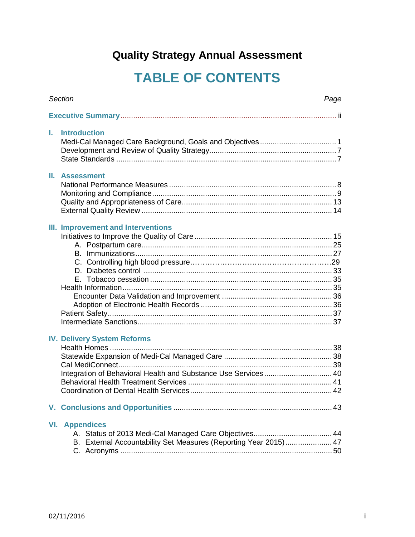# **Quality Strategy Annual Assessment**

# **TABLE OF CONTENTS**

|    | Section<br>Page                                                                                      |  |  |  |
|----|------------------------------------------------------------------------------------------------------|--|--|--|
|    |                                                                                                      |  |  |  |
| L. | <b>Introduction</b>                                                                                  |  |  |  |
|    | <b>II.</b> Assessment                                                                                |  |  |  |
|    | III. Improvement and Interventions                                                                   |  |  |  |
|    | <b>IV. Delivery System Reforms</b><br>Integration of Behavioral Health and Substance Use Services 40 |  |  |  |
|    |                                                                                                      |  |  |  |
|    | <b>VI.</b> Appendices<br>B. External Accountability Set Measures (Reporting Year 2015) 47            |  |  |  |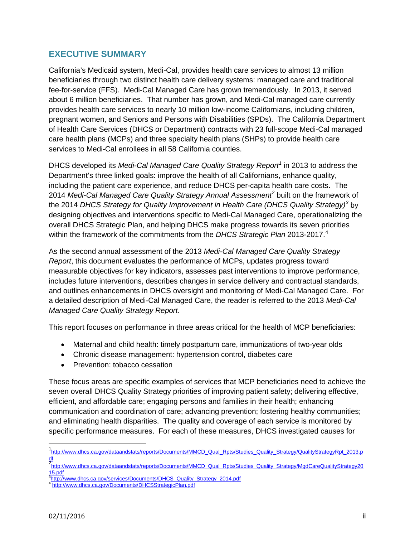# **EXECUTIVE SUMMARY**

California's Medicaid system, Medi-Cal, provides health care services to almost 13 million beneficiaries through two distinct health care delivery systems: managed care and traditional fee-for-service (FFS). Medi-Cal Managed Care has grown tremendously. In 2013, it served about 6 million beneficiaries. That number has grown, and Medi-Cal managed care currently provides health care services to nearly 10 million low-income Californians, including children, pregnant women, and Seniors and Persons with Disabilities (SPDs). The California Department of Health Care Services (DHCS or Department) contracts with 23 full-scope Medi-Cal managed care health plans (MCPs) and three specialty health plans (SHPs) to provide health care services to Medi-Cal enrollees in all 58 California counties.

DHCS developed its *Medi-Cal Managed Care Quality Strategy Report[1](#page-2-0)* in 2013 to address the Department's three linked goals: improve the health of all Californians, enhance quality, including the patient care experience, and reduce DHCS per-capita health care costs. The 2014 *Medi-Cal Managed Care Quality Strategy Annual Assessment[2](#page-2-1)* built on the framework of the 2014 *DHCS Strategy for Quality Improvement in Health Care (DHCS Quality Strategy)[3](#page-2-2)* by designing objectives and interventions specific to Medi-Cal Managed Care, operationalizing the overall DHCS Strategic Plan, and helping DHCS make progress towards its seven priorities within the framework of the commitments from the *DHCS Strategic Plan* 2013-2017.<sup>[4](#page-2-3)</sup>

As the second annual assessment of the 2013 *Medi-Cal Managed Care Quality Strategy Report*, this document evaluates the performance of MCPs, updates progress toward measurable objectives for key indicators, assesses past interventions to improve performance, includes future interventions, describes changes in service delivery and contractual standards, and outlines enhancements in DHCS oversight and monitoring of Medi-Cal Managed Care. For a detailed description of Medi-Cal Managed Care, the reader is referred to the 2013 *Medi-Cal Managed Care Quality Strategy Report*.

This report focuses on performance in three areas critical for the health of MCP beneficiaries:

- Maternal and child health: timely postpartum care, immunizations of two-year olds
- Chronic disease management: hypertension control, diabetes care
- Prevention: tobacco cessation

These focus areas are specific examples of services that MCP beneficiaries need to achieve the seven overall DHCS Quality Strategy priorities of improving patient safety; delivering effective, efficient, and affordable care; engaging persons and families in their health; enhancing communication and coordination of care; advancing prevention; fostering healthy communities; and eliminating health disparities. The quality and coverage of each service is monitored by specific performance measures. For each of these measures, DHCS investigated causes for

<span id="page-2-1"></span>15.pdf<br><sup>3</sup>http://www.dhcs.ca.gov/services/Documents/DHCS\_Quality\_Strategy\_2014.pdf

l

<span id="page-2-0"></span><sup>1&</sup>lt;br>[http://www.dhcs.ca.gov/dataandstats/reports/Documents/MMCD\\_Qual\\_Rpts/Studies\\_Quality\\_Strategy/QualityStrategyRpt\\_2013.p](http://www.dhcs.ca.gov/dataandstats/reports/Documents/MMCD_Qual_Rpts/Studies_Quality_Strategy/QualityStrategyRpt_2013.pdf) <mark>df</mark><br>2<sub>[http://www.dhcs.ca.gov/dataandstats/reports/Documents/MMCD\\_Qual\\_Rpts/Studies\\_Quality\\_Strategy/MgdCareQualityStrategy20](http://www.dhcs.ca.gov/dataandstats/reports/Documents/MMCD_Qual_Rpts/Studies_Quality_Strategy/MgdCareQualityStrategy2015.pdf)</sub>

<span id="page-2-3"></span><span id="page-2-2"></span><http://www.dhcs.ca.gov/Documents/DHCSStrategicPlan.pdf>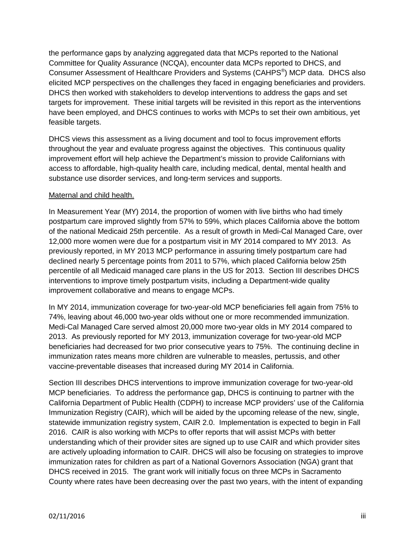the performance gaps by analyzing aggregated data that MCPs reported to the National Committee for Quality Assurance (NCQA), encounter data MCPs reported to DHCS, and Consumer Assessment of Healthcare Providers and Systems (CAHPS<sup>®</sup>) MCP data. DHCS also elicited MCP perspectives on the challenges they faced in engaging beneficiaries and providers. DHCS then worked with stakeholders to develop interventions to address the gaps and set targets for improvement. These initial targets will be revisited in this report as the interventions have been employed, and DHCS continues to works with MCPs to set their own ambitious, yet feasible targets.

DHCS views this assessment as a living document and tool to focus improvement efforts throughout the year and evaluate progress against the objectives. This continuous quality improvement effort will help achieve the Department's mission to provide Californians with access to affordable, high-quality health care, including medical, dental, mental health and substance use disorder services, and long-term services and supports.

#### Maternal and child health.

In Measurement Year (MY) 2014, the proportion of women with live births who had timely postpartum care improved slightly from 57% to 59%, which places California above the bottom of the national Medicaid 25th percentile. As a result of growth in Medi-Cal Managed Care, over 12,000 more women were due for a postpartum visit in MY 2014 compared to MY 2013. As previously reported, in MY 2013 MCP performance in assuring timely postpartum care had declined nearly 5 percentage points from 2011 to 57%, which placed California below 25th percentile of all Medicaid managed care plans in the US for 2013. Section III describes DHCS interventions to improve timely postpartum visits, including a Department-wide quality improvement collaborative and means to engage MCPs.

In MY 2014, immunization coverage for two-year-old MCP beneficiaries fell again from 75% to 74%, leaving about 46,000 two-year olds without one or more recommended immunization. Medi-Cal Managed Care served almost 20,000 more two-year olds in MY 2014 compared to 2013. As previously reported for MY 2013, immunization coverage for two-year-old MCP beneficiaries had decreased for two prior consecutive years to 75%. The continuing decline in immunization rates means more children are vulnerable to measles, pertussis, and other vaccine-preventable diseases that increased during MY 2014 in California.

Section III describes DHCS interventions to improve immunization coverage for two-year-old MCP beneficiaries. To address the performance gap, DHCS is continuing to partner with the California Department of Public Health (CDPH) to increase MCP providers' use of the California Immunization Registry (CAIR), which will be aided by the upcoming release of the new, single, statewide immunization registry system, CAIR 2.0. Implementation is expected to begin in Fall 2016. CAIR is also working with MCPs to offer reports that will assist MCPs with better understanding which of their provider sites are signed up to use CAIR and which provider sites are actively uploading information to CAIR. DHCS will also be focusing on strategies to improve immunization rates for children as part of a National Governors Association (NGA) grant that DHCS received in 2015. The grant work will initially focus on three MCPs in Sacramento County where rates have been decreasing over the past two years, with the intent of expanding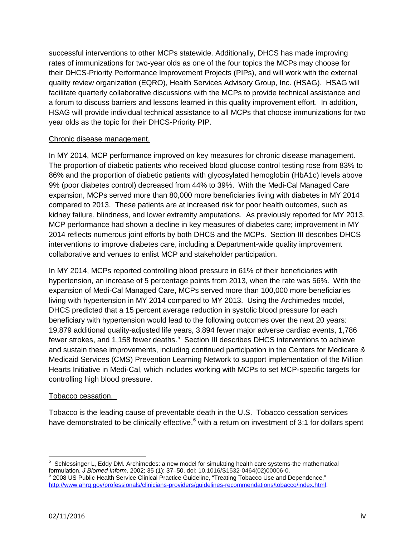successful interventions to other MCPs statewide. Additionally, DHCS has made improving rates of immunizations for two-year olds as one of the four topics the MCPs may choose for their DHCS-Priority Performance Improvement Projects (PIPs), and will work with the external quality review organization (EQRO), Health Services Advisory Group, Inc. (HSAG). HSAG will facilitate quarterly collaborative discussions with the MCPs to provide technical assistance and a forum to discuss barriers and lessons learned in this quality improvement effort. In addition, HSAG will provide individual technical assistance to all MCPs that choose immunizations for two year olds as the topic for their DHCS-Priority PIP.

#### Chronic disease management.

In MY 2014, MCP performance improved on key measures for chronic disease management. The proportion of diabetic patients who received blood glucose control testing rose from 83% to 86% and the proportion of diabetic patients with glycosylated hemoglobin (HbA1c) levels above 9% (poor diabetes control) decreased from 44% to 39%. With the Medi-Cal Managed Care expansion, MCPs served more than 80,000 more beneficiaries living with diabetes in MY 2014 compared to 2013. These patients are at increased risk for poor health outcomes, such as kidney failure, blindness, and lower extremity amputations. As previously reported for MY 2013, MCP performance had shown a decline in key measures of diabetes care; improvement in MY 2014 reflects numerous joint efforts by both DHCS and the MCPs. Section III describes DHCS interventions to improve diabetes care, including a Department-wide quality improvement collaborative and venues to enlist MCP and stakeholder participation.

In MY 2014, MCPs reported controlling blood pressure in 61% of their beneficiaries with hypertension, an increase of 5 percentage points from 2013, when the rate was 56%. With the expansion of Medi-Cal Managed Care, MCPs served more than 100,000 more beneficiaries living with hypertension in MY 2014 compared to MY 2013. Using the Archimedes model, DHCS predicted that a 15 percent average reduction in systolic blood pressure for each beneficiary with hypertension would lead to the following outcomes over the next 20 years: 19,879 additional quality-adjusted life years, 3,894 fewer major adverse cardiac events, 1,786 fewer strokes, and 1,1[5](#page-4-0)8 fewer deaths.<sup>5</sup> Section III describes DHCS interventions to achieve and sustain these improvements, including continued participation in the Centers for Medicare & Medicaid Services (CMS) Prevention Learning Network to support implementation of the Million Hearts Initiative in Medi-Cal, which includes working with MCPs to set MCP-specific targets for controlling high blood pressure.

#### Tobacco cessation.

Tobacco is the leading cause of preventable death in the U.S. Tobacco cessation services have demonstrated to be clinically effective, $6 \text{ with a return on investment of } 3:1$  $6 \text{ with a return on investment of } 3:1$  for dollars spent

l

<span id="page-4-1"></span><span id="page-4-0"></span><sup>&</sup>lt;sup>5</sup> Schlessinger L, Eddy DM. Archimedes: a new model for simulating health care systems-the mathematical formulation. *J Biomed Inform.* 2002; 35 (1): 37–50. doi: 10.1016/S1532-0464(02)00006-0.<br><sup>6</sup> 2008 US Public Health Service Clinical Practice Guideline, "Treating Tobacco Use and Dependence," [http://www.ahrq.gov/professionals/clinicians-providers/guidelines-recommendations/tobacco/index.html.](http://www.ahrq.gov/professionals/clinicians-providers/guidelines-recommendations/tobacco/index.html)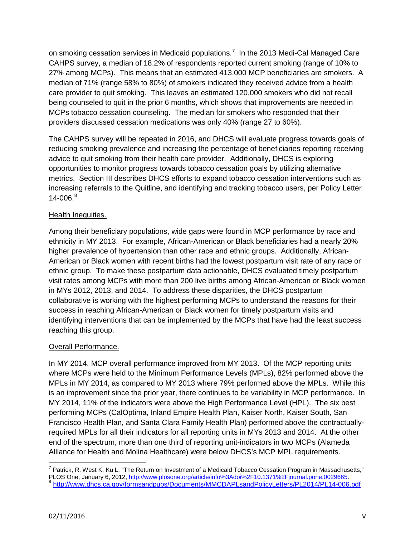on smoking cessation services in Medicaid populations.<sup>[7](#page-5-0)</sup> In the 2013 Medi-Cal Managed Care CAHPS survey, a median of 18.2% of respondents reported current smoking (range of 10% to 27% among MCPs). This means that an estimated 413,000 MCP beneficiaries are smokers. A median of 71% (range 58% to 80%) of smokers indicated they received advice from a health care provider to quit smoking. This leaves an estimated 120,000 smokers who did not recall being counseled to quit in the prior 6 months, which shows that improvements are needed in MCPs tobacco cessation counseling. The median for smokers who responded that their providers discussed cessation medications was only 40% (range 27 to 60%).

The CAHPS survey will be repeated in 2016, and DHCS will evaluate progress towards goals of reducing smoking prevalence and increasing the percentage of beneficiaries reporting receiving advice to quit smoking from their health care provider. Additionally, DHCS is exploring opportunities to monitor progress towards tobacco cessation goals by utilizing alternative metrics. Section III describes DHCS efforts to expand tobacco cessation interventions such as increasing referrals to the Quitline, and identifying and tracking tobacco users, per Policy Letter  $14 - 006.<sup>8</sup>$  $14 - 006.<sup>8</sup>$  $14 - 006.<sup>8</sup>$ 

#### Health Inequities.

Among their beneficiary populations, wide gaps were found in MCP performance by race and ethnicity in MY 2013. For example, African-American or Black beneficiaries had a nearly 20% higher prevalence of hypertension than other race and ethnic groups. Additionally, African-American or Black women with recent births had the lowest postpartum visit rate of any race or ethnic group. To make these postpartum data actionable, DHCS evaluated timely postpartum visit rates among MCPs with more than 200 live births among African-American or Black women in MYs 2012, 2013, and 2014. To address these disparities, the DHCS postpartum collaborative is working with the highest performing MCPs to understand the reasons for their success in reaching African-American or Black women for timely postpartum visits and identifying interventions that can be implemented by the MCPs that have had the least success reaching this group.

#### Overall Performance.

In MY 2014, MCP overall performance improved from MY 2013. Of the MCP reporting units where MCPs were held to the Minimum Performance Levels (MPLs), 82% performed above the MPLs in MY 2014, as compared to MY 2013 where 79% performed above the MPLs. While this is an improvement since the prior year, there continues to be variability in MCP performance. In MY 2014, 11% of the indicators were above the High Performance Level (HPL). The six best performing MCPs (CalOptima, Inland Empire Health Plan, Kaiser North, Kaiser South, San Francisco Health Plan, and Santa Clara Family Health Plan) performed above the contractuallyrequired MPLs for all their indicators for all reporting units in MYs 2013 and 2014. At the other end of the spectrum, more than one third of reporting unit-indicators in two MCPs (Alameda Alliance for Health and Molina Healthcare) were below DHCS's MCP MPL requirements.

<span id="page-5-1"></span><span id="page-5-0"></span>l  $^7$  Patrick, R. West K, Ku L, "The Return on Investment of a Medicaid Tobacco Cessation Program in Massachusetts," PLOS One, January 6, 2012, [http://www.plosone.org/article/info%3Adoi%2F10.1371%2Fjournal.pone.0029665.](http://www.plosone.org/article/info%3Adoi%2F10.1371%2Fjournal.pone.0029665)<br>8 http://www.dhcs.ca.gov/formsandpubs/Documents/MMCDAPLsandPolicyLetters/PL2014/PL14-006.pdf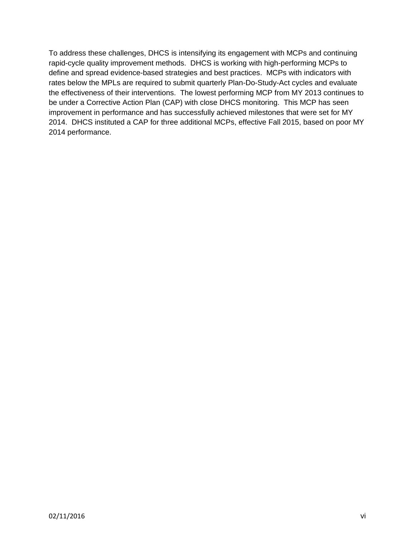To address these challenges, DHCS is intensifying its engagement with MCPs and continuing rapid-cycle quality improvement methods. DHCS is working with high-performing MCPs to define and spread evidence-based strategies and best practices. MCPs with indicators with rates below the MPLs are required to submit quarterly Plan-Do-Study-Act cycles and evaluate the effectiveness of their interventions. The lowest performing MCP from MY 2013 continues to be under a Corrective Action Plan (CAP) with close DHCS monitoring. This MCP has seen improvement in performance and has successfully achieved milestones that were set for MY 2014. DHCS instituted a CAP for three additional MCPs, effective Fall 2015, based on poor MY 2014 performance.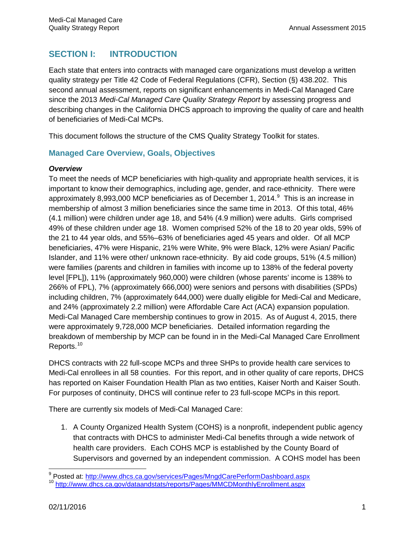# **SECTION I: INTRODUCTION**

Each state that enters into contracts with managed care organizations must develop a written quality strategy per Title 42 Code of Federal Regulations (CFR), Section (§) 438.202. This second annual assessment, reports on significant enhancements in Medi-Cal Managed Care since the 2013 *Medi-Cal Managed Care Quality Strategy Report* by assessing progress and describing changes in the California DHCS approach to improving the quality of care and health of beneficiaries of Medi-Cal MCPs.

This document follows the structure of the CMS Quality Strategy Toolkit for states.

## **Managed Care Overview, Goals, Objectives**

#### *Overview*

To meet the needs of MCP beneficiaries with high-quality and appropriate health services, it is important to know their demographics, including age, gender, and race-ethnicity. There were approximately 8,[9](#page-7-0)93,000 MCP beneficiaries as of December 1, 2014.<sup>9</sup> This is an increase in membership of almost 3 million beneficiaries since the same time in 2013. Of this total, 46% (4.1 million) were children under age 18, and 54% (4.9 million) were adults. Girls comprised 49% of these children under age 18. Women comprised 52% of the 18 to 20 year olds, 59% of the 21 to 44 year olds, and 55%–63% of beneficiaries aged 45 years and older. Of all MCP beneficiaries, 47% were Hispanic, 21% were White, 9% were Black, 12% were Asian/ Pacific Islander, and 11% were other/ unknown race-ethnicity. By aid code groups, 51% (4.5 million) were families (parents and children in families with income up to 138% of the federal poverty level [FPL]), 11% (approximately 960,000) were children (whose parents' income is 138% to 266% of FPL), 7% (approximately 666,000) were seniors and persons with disabilities (SPDs) including children, 7% (approximately 644,000) were dually eligible for Medi-Cal and Medicare, and 24% (approximately 2.2 million) were Affordable Care Act (ACA) expansion population. Medi-Cal Managed Care membership continues to grow in 2015. As of August 4, 2015, there were approximately 9,728,000 MCP beneficiaries. Detailed information regarding the breakdown of membership by MCP can be found in in the Medi-Cal Managed Care Enrollment Reports.<sup>[10](#page-7-1)</sup>

DHCS contracts with 22 full-scope MCPs and three SHPs to provide health care services to Medi-Cal enrollees in all 58 counties. For this report, and in other quality of care reports, DHCS has reported on Kaiser Foundation Health Plan as two entities, Kaiser North and Kaiser South. For purposes of continuity, DHCS will continue refer to 23 full-scope MCPs in this report.

There are currently six models of Medi-Cal Managed Care:

1. A County Organized Health System (COHS) is a nonprofit, independent public agency that contracts with DHCS to administer Medi-Cal benefits through a wide network of health care providers. Each COHS MCP is established by the County Board of Supervisors and governed by an independent commission. A COHS model has been

<span id="page-7-0"></span><sup>&</sup>lt;sup>9</sup> Posted at: http://www.dhcs.ca.gov/services/Pages/MngdCarePerformDashboard.aspx

<span id="page-7-1"></span><sup>10</sup> http://www.dhcs.ca.gov/dataandstats/reports/Pages/MMCDMonthlyEnrollment.aspx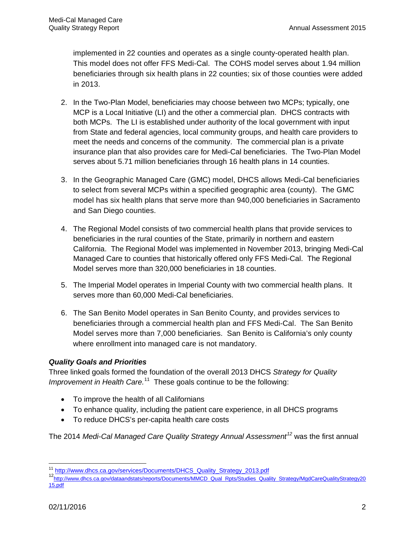implemented in 22 counties and operates as a single county-operated health plan. This model does not offer FFS Medi-Cal. The COHS model serves about 1.94 million beneficiaries through six health plans in 22 counties; six of those counties were added in 2013.

- 2. In the Two-Plan Model, beneficiaries may choose between two MCPs; typically, one MCP is a Local Initiative (LI) and the other a commercial plan. DHCS contracts with both MCPs. The LI is established under authority of the local government with input from State and federal agencies, local community groups, and health care providers to meet the needs and concerns of the community. The commercial plan is a private insurance plan that also provides care for Medi-Cal beneficiaries. The Two-Plan Model serves about 5.71 million beneficiaries through 16 health plans in 14 counties.
- 3. In the Geographic Managed Care (GMC) model, DHCS allows Medi-Cal beneficiaries to select from several MCPs within a specified geographic area (county). The GMC model has six health plans that serve more than 940,000 beneficiaries in Sacramento and San Diego counties.
- 4. The Regional Model consists of two commercial health plans that provide services to beneficiaries in the rural counties of the State, primarily in northern and eastern California. The Regional Model was implemented in November 2013, bringing Medi-Cal Managed Care to counties that historically offered only FFS Medi-Cal. The Regional Model serves more than 320,000 beneficiaries in 18 counties.
- 5. The Imperial Model operates in Imperial County with two commercial health plans. It serves more than 60,000 Medi-Cal beneficiaries.
- 6. The San Benito Model operates in San Benito County, and provides services to beneficiaries through a commercial health plan and FFS Medi-Cal. The San Benito Model serves more than 7,000 beneficiaries. San Benito is California's only county where enrollment into managed care is not mandatory.

#### *Quality Goals and Priorities*

Three linked goals formed the foundation of the overall 2013 DHCS *Strategy for Quality*  Improvement in Health Care.<sup>11</sup> These goals continue to be the following:

- To improve the health of all Californians
- To enhance quality, including the patient care experience, in all DHCS programs
- To reduce DHCS's per-capita health care costs

The 2014 *Medi-Cal Managed Care Quality Strategy Annual Assessment[12](#page-8-1)* was the first annual

<span id="page-8-0"></span><sup>&</sup>lt;sup>11</sup> http://www.dhcs.ca.gov/services/Documents/DHCS\_Quality\_Strategy\_2013.pdf

<span id="page-8-1"></span><sup>12&</sup>lt;sub>http://www.dhcs.ca.gov/dataandstats/reports/Documents/MMCD\_Qual\_Rpts/Studies\_Quality\_Strategy/MgdCareQualityStrategy20</sub> [15.pdf](http://www.dhcs.ca.gov/dataandstats/reports/Documents/MMCD_Qual_Rpts/Studies_Quality_Strategy/MgdCareQualityStrategy2015.pdf)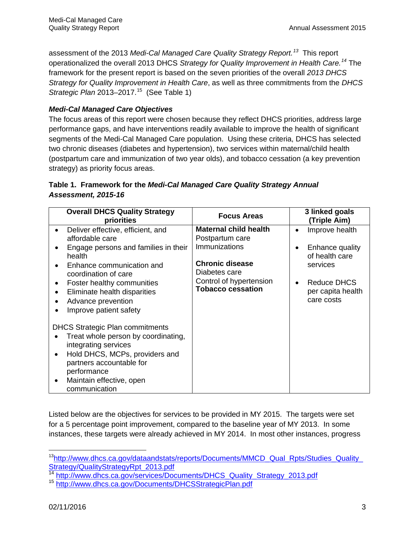assessment of the 2013 *Medi-Cal Managed Care Quality Strategy Report. [13](#page-9-0)* This report operationalized the overall 2013 DHCS *Strategy for Quality Improvement in Health Care. [14](#page-9-1)* The framework for the present report is based on the seven priorities of the overall *2013 DHCS Strategy for Quality Improvement in Health Care*, as well as three commitments from the *DHCS Strategic Plan* 2013–2017.<sup>15</sup> (See Table 1)

#### *Medi-Cal Managed Care Objectives*

The focus areas of this report were chosen because they reflect DHCS priorities, address large performance gaps, and have interventions readily available to improve the health of significant segments of the Medi-Cal Managed Care population. Using these criteria, DHCS has selected two chronic diseases (diabetes and hypertension), two services within maternal/child health (postpartum care and immunization of two year olds), and tobacco cessation (a key prevention strategy) as priority focus areas.

## **Table 1. Framework for the** *Medi-Cal Managed Care Quality Strategy Annual Assessment, 2015-16*

| <b>Overall DHCS Quality Strategy</b><br>priorities                                                                                                                                                                                                                        | <b>Focus Areas</b>                                                                                                                                                 | 3 linked goals<br>(Triple Aim)                                                                                    |
|---------------------------------------------------------------------------------------------------------------------------------------------------------------------------------------------------------------------------------------------------------------------------|--------------------------------------------------------------------------------------------------------------------------------------------------------------------|-------------------------------------------------------------------------------------------------------------------|
| Deliver effective, efficient, and<br>affordable care<br>Engage persons and families in their<br>health<br>Enhance communication and<br>coordination of care<br>Foster healthy communities<br>Eliminate health disparities<br>Advance prevention<br>Improve patient safety | <b>Maternal child health</b><br>Postpartum care<br>Immunizations<br><b>Chronic disease</b><br>Diabetes care<br>Control of hypertension<br><b>Tobacco cessation</b> | Improve health<br>Enhance quality<br>of health care<br>services<br>Reduce DHCS<br>per capita health<br>care costs |
| <b>DHCS Strategic Plan commitments</b><br>Treat whole person by coordinating,<br>integrating services<br>Hold DHCS, MCPs, providers and<br>partners accountable for<br>performance<br>Maintain effective, open<br>$\bullet$<br>communication                              |                                                                                                                                                                    |                                                                                                                   |

Listed below are the objectives for services to be provided in MY 2015. The targets were set for a 5 percentage point improvement, compared to the baseline year of MY 2013. In some instances, these targets were already achieved in MY 2014. In most other instances, progress

 $\overline{\phantom{a}}$ 

<span id="page-9-0"></span><sup>&</sup>lt;sup>13</sup>http://www.dhcs.ca.gov/dataandstats/reports/Documents/MMCD\_Qual\_Rpts/Studies\_Quality\_<br>Strategy/QualityStrategyRpt\_2013.pdf<br><sup>14</sup> http://www.dbss.ca.gov.v

<span id="page-9-1"></span>[http://www.dhcs.ca.gov/services/Documents/DHCS\\_Quality\\_Strategy\\_2013.pdf](http://www.dhcs.ca.gov/services/Documents/DHCS_Quality_Strategy_2013.pdf)

<span id="page-9-2"></span><sup>15</sup> <http://www.dhcs.ca.gov/Documents/DHCSStrategicPlan.pdf>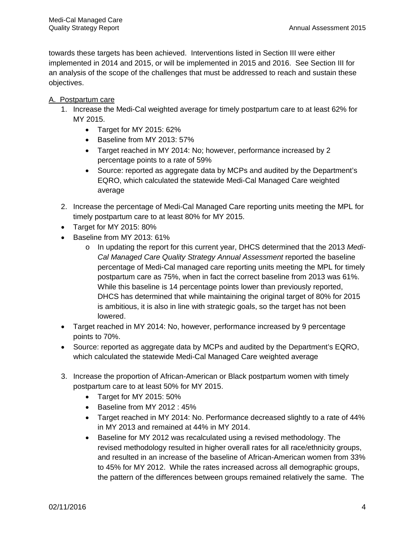towards these targets has been achieved. Interventions listed in Section III were either implemented in 2014 and 2015, or will be implemented in 2015 and 2016. See Section III for an analysis of the scope of the challenges that must be addressed to reach and sustain these objectives.

#### A. Postpartum care

- 1. Increase the Medi-Cal weighted average for timely postpartum care to at least 62% for MY 2015.
	- Target for MY 2015: 62%
	- Baseline from MY 2013: 57%
	- Target reached in MY 2014: No; however, performance increased by 2 percentage points to a rate of 59%
	- Source: reported as aggregate data by MCPs and audited by the Department's EQRO, which calculated the statewide Medi-Cal Managed Care weighted average
- 2. Increase the percentage of Medi-Cal Managed Care reporting units meeting the MPL for timely postpartum care to at least 80% for MY 2015.
- Target for MY 2015: 80%
- Baseline from MY 2013: 61%
	- o In updating the report for this current year, DHCS determined that the 2013 *Medi-Cal Managed Care Quality Strategy Annual Assessment* reported the baseline percentage of Medi-Cal managed care reporting units meeting the MPL for timely postpartum care as 75%, when in fact the correct baseline from 2013 was 61%. While this baseline is 14 percentage points lower than previously reported, DHCS has determined that while maintaining the original target of 80% for 2015 is ambitious, it is also in line with strategic goals, so the target has not been lowered.
- Target reached in MY 2014: No, however, performance increased by 9 percentage points to 70%.
- Source: reported as aggregate data by MCPs and audited by the Department's EQRO, which calculated the statewide Medi-Cal Managed Care weighted average
- 3. Increase the proportion of African-American or Black postpartum women with timely postpartum care to at least 50% for MY 2015.
	- Target for MY 2015: 50%
	- Baseline from MY 2012 : 45%
	- Target reached in MY 2014: No. Performance decreased slightly to a rate of 44% in MY 2013 and remained at 44% in MY 2014.
	- Baseline for MY 2012 was recalculated using a revised methodology. The revised methodology resulted in higher overall rates for all race/ethnicity groups, and resulted in an increase of the baseline of African-American women from 33% to 45% for MY 2012. While the rates increased across all demographic groups, the pattern of the differences between groups remained relatively the same. The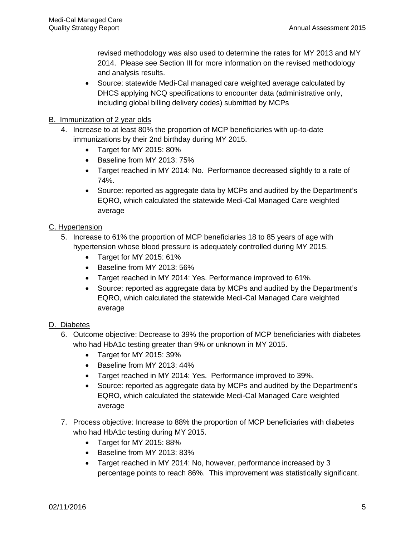revised methodology was also used to determine the rates for MY 2013 and MY 2014. Please see Section III for more information on the revised methodology and analysis results.

- Source: statewide Medi-Cal managed care weighted average calculated by DHCS applying NCQ specifications to encounter data (administrative only, including global billing delivery codes) submitted by MCPs
- B. Immunization of 2 year olds
	- 4. Increase to at least 80% the proportion of MCP beneficiaries with up-to-date immunizations by their 2nd birthday during MY 2015.
		- Target for MY 2015: 80%
		- Baseline from MY 2013: 75%
		- Target reached in MY 2014: No. Performance decreased slightly to a rate of 74%.
		- Source: reported as aggregate data by MCPs and audited by the Department's EQRO, which calculated the statewide Medi-Cal Managed Care weighted average

#### C. Hypertension

- 5. Increase to 61% the proportion of MCP beneficiaries 18 to 85 years of age with hypertension whose blood pressure is adequately controlled during MY 2015.
	- Target for MY 2015: 61%
	- Baseline from MY 2013: 56%
	- Target reached in MY 2014: Yes. Performance improved to 61%.
	- Source: reported as aggregate data by MCPs and audited by the Department's EQRO, which calculated the statewide Medi-Cal Managed Care weighted average

#### D. Diabetes

- 6. Outcome objective: Decrease to 39% the proportion of MCP beneficiaries with diabetes who had HbA1c testing greater than 9% or unknown in MY 2015.
	- Target for MY 2015: 39%
	- Baseline from MY 2013: 44%
	- Target reached in MY 2014: Yes. Performance improved to 39%.
	- Source: reported as aggregate data by MCPs and audited by the Department's EQRO, which calculated the statewide Medi-Cal Managed Care weighted average
- 7. Process objective: Increase to 88% the proportion of MCP beneficiaries with diabetes who had HbA1c testing during MY 2015.
	- Target for MY 2015: 88%
	- Baseline from MY 2013: 83%
	- Target reached in MY 2014: No, however, performance increased by 3 percentage points to reach 86%. This improvement was statistically significant.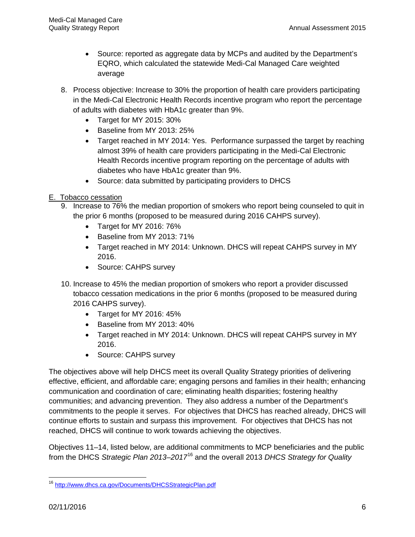- Source: reported as aggregate data by MCPs and audited by the Department's EQRO, which calculated the statewide Medi-Cal Managed Care weighted average
- 8. Process objective: Increase to 30% the proportion of health care providers participating in the Medi-Cal Electronic Health Records incentive program who report the percentage of adults with diabetes with HbA1c greater than 9%.
	- Target for MY 2015: 30%
	- Baseline from MY 2013: 25%
	- Target reached in MY 2014: Yes. Performance surpassed the target by reaching almost 39% of health care providers participating in the Medi-Cal Electronic Health Records incentive program reporting on the percentage of adults with diabetes who have HbA1c greater than 9%.
	- Source: data submitted by participating providers to DHCS
- E. Tobacco cessation
	- 9. Increase to 76% the median proportion of smokers who report being counseled to quit in the prior 6 months (proposed to be measured during 2016 CAHPS survey).
		- Target for MY 2016: 76%
		- Baseline from MY 2013: 71%
		- Target reached in MY 2014: Unknown. DHCS will repeat CAHPS survey in MY 2016.
		- Source: CAHPS survey
	- 10. Increase to 45% the median proportion of smokers who report a provider discussed tobacco cessation medications in the prior 6 months (proposed to be measured during 2016 CAHPS survey).
		- Target for MY 2016: 45%
		- Baseline from MY 2013: 40%
		- Target reached in MY 2014: Unknown. DHCS will repeat CAHPS survey in MY 2016.
		- Source: CAHPS survey

The objectives above will help DHCS meet its overall Quality Strategy priorities of delivering effective, efficient, and affordable care; engaging persons and families in their health; enhancing communication and coordination of care; eliminating health disparities; fostering healthy communities; and advancing prevention. They also address a number of the Department's commitments to the people it serves. For objectives that DHCS has reached already, DHCS will continue efforts to sustain and surpass this improvement. For objectives that DHCS has not reached, DHCS will continue to work towards achieving the objectives.

Objectives 11–14, listed below, are additional commitments to MCP beneficiaries and the public from the DHCS *Strategic Plan 2013–2017*[16](#page-12-0) and the overall 2013 *DHCS Strategy for Quality* 

<span id="page-12-0"></span>l <sup>16</sup> http://www.dhcs.ca.gov/Documents/DHCSStrategicPlan.pdf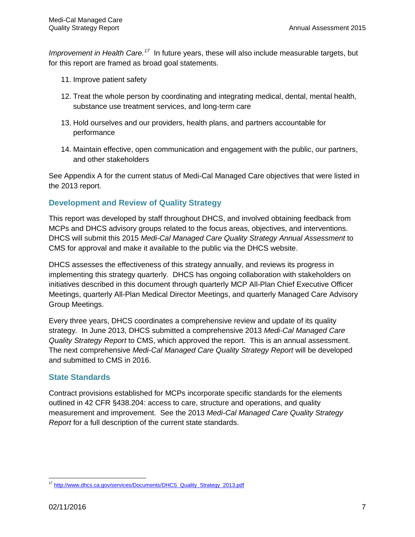*Improvement in Health Care.[17](#page-13-0)* In future years, these will also include measurable targets, but for this report are framed as broad goal statements.

- 11. Improve patient safety
- 12. Treat the whole person by coordinating and integrating medical, dental, mental health, substance use treatment services, and long-term care
- 13. Hold ourselves and our providers, health plans, and partners accountable for performance
- 14. Maintain effective, open communication and engagement with the public, our partners, and other stakeholders

See Appendix A for the current status of Medi-Cal Managed Care objectives that were listed in the 2013 report.

#### **Development and Review of Quality Strategy**

This report was developed by staff throughout DHCS, and involved obtaining feedback from MCPs and DHCS advisory groups related to the focus areas, objectives, and interventions. DHCS will submit this 2015 *Medi-Cal Managed Care Quality Strategy Annual Assessment* to CMS for approval and make it available to the public via the DHCS website.

DHCS assesses the effectiveness of this strategy annually, and reviews its progress in implementing this strategy quarterly. DHCS has ongoing collaboration with stakeholders on initiatives described in this document through quarterly MCP All-Plan Chief Executive Officer Meetings, quarterly All-Plan Medical Director Meetings, and quarterly Managed Care Advisory Group Meetings.

Every three years, DHCS coordinates a comprehensive review and update of its quality strategy*.* In June 2013, DHCS submitted a comprehensive 2013 *Medi-Cal Managed Care Quality Strategy Report* to CMS, which approved the report. This is an annual assessment. The next comprehensive *Medi-Cal Managed Care Quality Strategy Report* will be developed and submitted to CMS in 2016.

#### **State Standards**

Contract provisions established for MCPs incorporate specific standards for the elements outlined in 42 CFR §438.204: access to care, structure and operations, and quality measurement and improvement. See the 2013 *Medi-Cal Managed Care Quality Strategy Report* for a full description of the current state standards.

<span id="page-13-0"></span>l <sup>17</sup> http://www.dhcs.ca.gov/services/Documents/DHCS\_Quality\_Strategy\_2013.pdf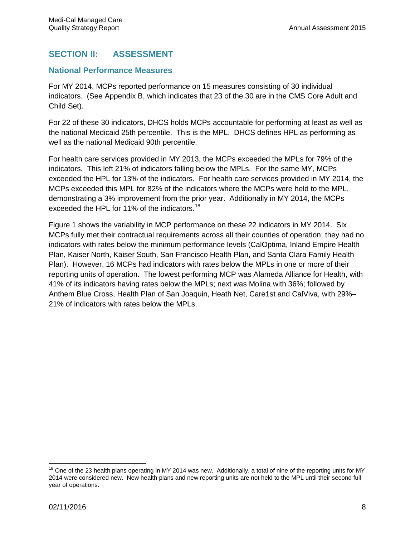# **SECTION II: ASSESSMENT**

#### **National Performance Measures**

For MY 2014, MCPs reported performance on 15 measures consisting of 30 individual indicators. (See Appendix B, which indicates that 23 of the 30 are in the CMS Core Adult and Child Set).

For 22 of these 30 indicators, DHCS holds MCPs accountable for performing at least as well as the national Medicaid 25th percentile. This is the MPL. DHCS defines HPL as performing as well as the national Medicaid 90th percentile.

For health care services provided in MY 2013, the MCPs exceeded the MPLs for 79% of the indicators. This left 21% of indicators falling below the MPLs. For the same MY, MCPs exceeded the HPL for 13% of the indicators. For health care services provided in MY 2014, the MCPs exceeded this MPL for 82% of the indicators where the MCPs were held to the MPL, demonstrating a 3% improvement from the prior year. Additionally in MY 2014, the MCPs exceeded the HPL for 11% of the indicators.<sup>[18](#page-14-0)</sup>

Figure 1 shows the variability in MCP performance on these 22 indicators in MY 2014. Six MCPs fully met their contractual requirements across all their counties of operation; they had no indicators with rates below the minimum performance levels (CalOptima, Inland Empire Health Plan, Kaiser North, Kaiser South, San Francisco Health Plan, and Santa Clara Family Health Plan). However, 16 MCPs had indicators with rates below the MPLs in one or more of their reporting units of operation. The lowest performing MCP was Alameda Alliance for Health, with 41% of its indicators having rates below the MPLs; next was Molina with 36%; followed by Anthem Blue Cross, Health Plan of San Joaquin, Heath Net, Care1st and CalViva, with 29%– 21% of indicators with rates below the MPLs.

<span id="page-14-0"></span> $\overline{\phantom{a}}$  $18$  One of the 23 health plans operating in MY 2014 was new. Additionally, a total of nine of the reporting units for MY 2014 were considered new. New health plans and new reporting units are not held to the MPL until their second full year of operations.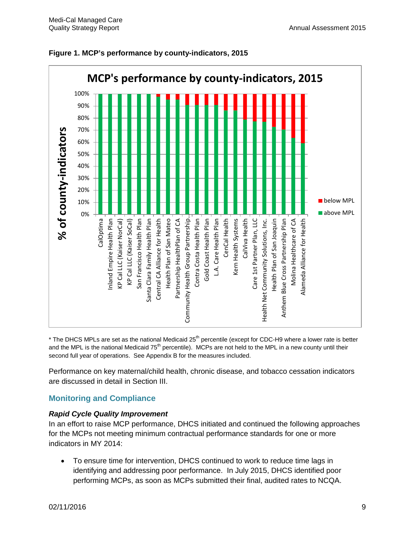

#### **Figure 1. MCP's performance by county-indicators, 2015**

\* The DHCS MPLs are set as the national Medicaid 25<sup>th</sup> percentile (except for CDC-H9 where a lower rate is better and the MPL is the national Medicaid 75<sup>th</sup> percentile). MCPs are not held to the MPL in a new county until their second full year of operations. See Appendix B for the measures included.

Performance on key maternal/child health, chronic disease, and tobacco cessation indicators are discussed in detail in Section III.

## **Monitoring and Compliance**

#### *Rapid Cycle Quality Improvement*

In an effort to raise MCP performance, DHCS initiated and continued the following approaches for the MCPs not meeting minimum contractual performance standards for one or more indicators in MY 2014:

• To ensure time for intervention, DHCS continued to work to reduce time lags in identifying and addressing poor performance. In July 2015, DHCS identified poor performing MCPs, as soon as MCPs submitted their final, audited rates to NCQA.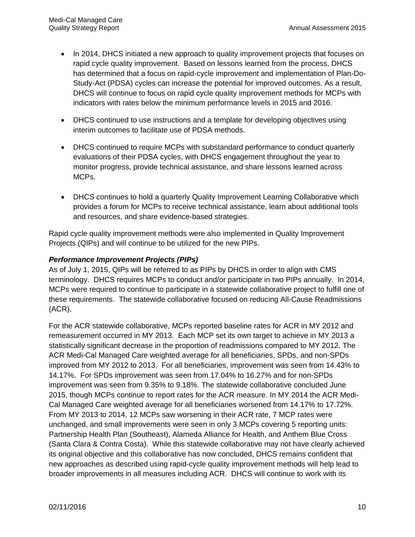- In 2014, DHCS initiated a new approach to quality improvement projects that focuses on rapid cycle quality improvement. Based on lessons learned from the process, DHCS has determined that a focus on rapid-cycle improvement and implementation of Plan-Do-Study-Act (PDSA) cycles can increase the potential for improved outcomes. As a result, DHCS will continue to focus on rapid cycle quality improvement methods for MCPs with indicators with rates below the minimum performance levels in 2015 and 2016.
- DHCS continued to use instructions and a template for developing objectives using interim outcomes to facilitate use of PDSA methods.
- DHCS continued to require MCPs with substandard performance to conduct quarterly evaluations of their PDSA cycles, with DHCS engagement throughout the year to monitor progress, provide technical assistance, and share lessons learned across MCPs.
- DHCS continues to hold a quarterly Quality Improvement Learning Collaborative which provides a forum for MCPs to receive technical assistance, learn about additional tools and resources, and share evidence-based strategies.

Rapid cycle quality improvement methods were also implemented in Quality Improvement Projects (QIPs) and will continue to be utilized for the new PIPs.

#### *Performance Improvement Projects (PIPs)*

As of July 1, 2015, QIPs will be referred to as PIPs by DHCS in order to align with CMS terminology. DHCS requires MCPs to conduct and/or participate in two PIPs annually. In 2014, MCPs were required to continue to participate in a statewide collaborative project to fulfill one of these requirements. The statewide collaborative focused on reducing All-Cause Readmissions (ACR),

For the ACR statewide collaborative, MCPs reported baseline rates for ACR in MY 2012 and remeasurement occurred in MY 2013. Each MCP set its own target to achieve in MY 2013 a statistically significant decrease in the proportion of readmissions compared to MY 2012. The ACR Medi-Cal Managed Care weighted average for all beneficiaries, SPDs, and non-SPDs improved from MY 2012 to 2013. For all beneficiaries, improvement was seen from 14.43% to 14.17%. For SPDs improvement was seen from 17.04% to 16.27% and for non-SPDs improvement was seen from 9.35% to 9.18%. The statewide collaborative concluded June 2015, though MCPs continue to report rates for the ACR measure. In MY 2014 the ACR Medi-Cal Managed Care weighted average for all beneficiaries worsened from 14.17% to 17.72%. From MY 2013 to 2014, 12 MCPs saw worsening in their ACR rate, 7 MCP rates were unchanged, and small improvements were seen in only 3 MCPs covering 5 reporting units: Partnership Health Plan (Southeast), Alameda Alliance for Health, and Anthem Blue Cross (Santa Clara & Contra Costa). While this statewide collaborative may not have clearly achieved its original objective and this collaborative has now concluded, DHCS remains confident that new approaches as described using rapid-cycle quality improvement methods will help lead to broader improvements in all measures including ACR. DHCS will continue to work with its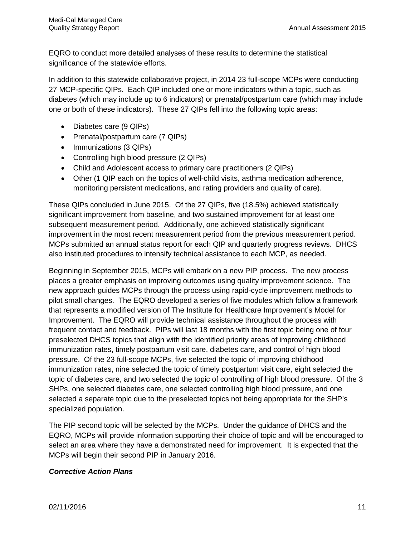EQRO to conduct more detailed analyses of these results to determine the statistical significance of the statewide efforts.

In addition to this statewide collaborative project, in 2014 23 full-scope MCPs were conducting 27 MCP-specific QIPs. Each QIP included one or more indicators within a topic, such as diabetes (which may include up to 6 indicators) or prenatal/postpartum care (which may include one or both of these indicators). These 27 QIPs fell into the following topic areas:

- Diabetes care (9 QIPs)
- Prenatal/postpartum care (7 QIPs)
- Immunizations (3 QIPs)
- Controlling high blood pressure (2 QIPs)
- Child and Adolescent access to primary care practitioners (2 QIPs)
- Other (1 QIP each on the topics of well-child visits, asthma medication adherence, monitoring persistent medications, and rating providers and quality of care).

These QIPs concluded in June 2015. Of the 27 QIPs, five (18.5%) achieved statistically significant improvement from baseline, and two sustained improvement for at least one subsequent measurement period. Additionally, one achieved statistically significant improvement in the most recent measurement period from the previous measurement period. MCPs submitted an annual status report for each QIP and quarterly progress reviews. DHCS also instituted procedures to intensify technical assistance to each MCP, as needed.

Beginning in September 2015, MCPs will embark on a new PIP process. The new process places a greater emphasis on improving outcomes using quality improvement science. The new approach guides MCPs through the process using rapid-cycle improvement methods to pilot small changes. The EQRO developed a series of five modules which follow a framework that represents a modified version of The Institute for Healthcare Improvement's Model for Improvement. The EQRO will provide technical assistance throughout the process with frequent contact and feedback. PIPs will last 18 months with the first topic being one of four preselected DHCS topics that align with the identified priority areas of improving childhood immunization rates, timely postpartum visit care, diabetes care, and control of high blood pressure. Of the 23 full-scope MCPs, five selected the topic of improving childhood immunization rates, nine selected the topic of timely postpartum visit care, eight selected the topic of diabetes care, and two selected the topic of controlling of high blood pressure. Of the 3 SHPs, one selected diabetes care, one selected controlling high blood pressure, and one selected a separate topic due to the preselected topics not being appropriate for the SHP's specialized population.

The PIP second topic will be selected by the MCPs. Under the guidance of DHCS and the EQRO, MCPs will provide information supporting their choice of topic and will be encouraged to select an area where they have a demonstrated need for improvement. It is expected that the MCPs will begin their second PIP in January 2016.

#### *Corrective Action Plans*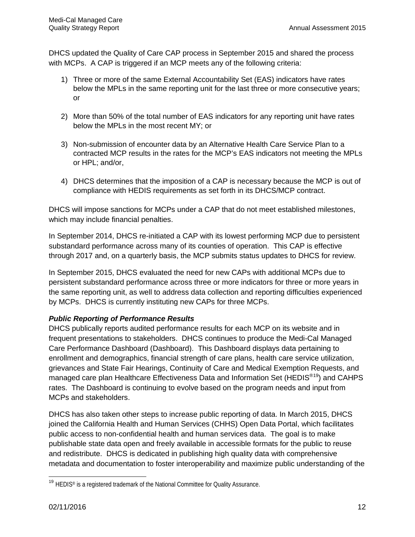DHCS updated the Quality of Care CAP process in September 2015 and shared the process with MCPs. A CAP is triggered if an MCP meets any of the following criteria:

- 1) Three or more of the same External Accountability Set (EAS) indicators have rates below the MPLs in the same reporting unit for the last three or more consecutive years; or
- 2) More than 50% of the total number of EAS indicators for any reporting unit have rates below the MPLs in the most recent MY; or
- 3) Non-submission of encounter data by an Alternative Health Care Service Plan to a contracted MCP results in the rates for the MCP's EAS indicators not meeting the MPLs or HPL; and/or,
- 4) DHCS determines that the imposition of a CAP is necessary because the MCP is out of compliance with HEDIS requirements as set forth in its DHCS/MCP contract.

DHCS will impose sanctions for MCPs under a CAP that do not meet established milestones, which may include financial penalties.

In September 2014, DHCS re-initiated a CAP with its lowest performing MCP due to persistent substandard performance across many of its counties of operation. This CAP is effective through 2017 and, on a quarterly basis, the MCP submits status updates to DHCS for review.

In September 2015, DHCS evaluated the need for new CAPs with additional MCPs due to persistent substandard performance across three or more indicators for three or more years in the same reporting unit, as well to address data collection and reporting difficulties experienced by MCPs. DHCS is currently instituting new CAPs for three MCPs.

## *Public Reporting of Performance Results*

DHCS publically reports audited performance results for each MCP on its website and in frequent presentations to stakeholders. DHCS continues to produce the Medi-Cal Managed Care Performance Dashboard (Dashboard). This Dashboard displays data pertaining to enrollment and demographics, financial strength of care plans, health care service utilization, grievances and State Fair Hearings, Continuity of Care and Medical Exemption Requests, and managed care plan Healthcare Effectiveness Data and Information Set (HEDIS<sup>®[19](#page-18-0)</sup>) and CAHPS rates. The Dashboard is continuing to evolve based on the program needs and input from MCPs and stakeholders.

DHCS has also taken other steps to increase public reporting of data. In March 2015, DHCS joined the California Health and Human Services (CHHS) Open Data Portal, which facilitates public access to non-confidential health and human services data. The goal is to make publishable state data open and freely available in accessible formats for the public to reuse and redistribute. DHCS is dedicated in publishing high quality data with comprehensive metadata and documentation to foster interoperability and maximize public understanding of the

<span id="page-18-0"></span> $\overline{\phantom{a}}$ <sup>19</sup> HEDIS® is a registered trademark of the National Committee for Quality Assurance.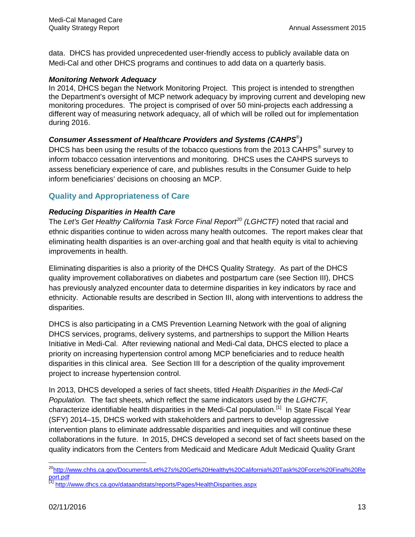data. DHCS has provided unprecedented user-friendly access to publicly available data on Medi-Cal and other DHCS programs and continues to add data on a quarterly basis.

#### *Monitoring Network Adequacy*

In 2014, DHCS began the Network Monitoring Project. This project is intended to strengthen the Department's oversight of MCP network adequacy by improving current and developing new monitoring procedures. The project is comprised of over 50 mini-projects each addressing a different way of measuring network adequacy, all of which will be rolled out for implementation during 2016.

#### *Consumer Assessment of Healthcare Providers and Systems (CAHPS*®*)*

DHCS has been using the results of the tobacco questions from the 2013 CAHPS<sup>®</sup> survey to inform tobacco cessation interventions and monitoring. DHCS uses the CAHPS surveys to assess beneficiary experience of care, and publishes results in the Consumer Guide to help inform beneficiaries' decisions on choosing an MCP.

## **Quality and Appropriateness of Care**

#### *Reducing Disparities in Health Care*

The *Let's Get Healthy California Task Force Final Report[20](#page-19-0) (LGHCTF)* noted that racial and ethnic disparities continue to widen across many health outcomes. The report makes clear that eliminating health disparities is an over-arching goal and that health equity is vital to achieving improvements in health.

Eliminating disparities is also a priority of the DHCS Quality Strategy. As part of the DHCS quality improvement collaboratives on diabetes and postpartum care (see Section III), DHCS has previously analyzed encounter data to determine disparities in key indicators by race and ethnicity. Actionable results are described in Section III, along with interventions to address the disparities.

DHCS is also participating in a CMS Prevention Learning Network with the goal of aligning DHCS services, programs, delivery systems, and partnerships to support the Million Hearts Initiative in Medi-Cal. After reviewing national and Medi-Cal data, DHCS elected to place a priority on increasing hypertension control among MCP beneficiaries and to reduce health disparities in this clinical area. See Section III for a description of the quality improvement project to increase hypertension control.

In 2013, DHCS developed a series of fact sheets, titled *Health Disparities in the Medi-Cal Population.* The fact sheets, which reflect the same indicators used by the *LGHCTF,* characterize identifiable health disparities in the Medi-Cal population.[\[1\]](#page-19-1) In State Fiscal Year (SFY) 2014–15, DHCS worked with stakeholders and partners to develop aggressive intervention plans to eliminate addressable disparities and inequities and will continue these collaborations in the future. In 2015, DHCS developed a second set of fact sheets based on the quality indicators from the Centers from Medicaid and Medicare Adult Medicaid Quality Grant

<span id="page-19-0"></span>l <sup>20</sup>http://www.chhs.ca.gov/Documents/Let%27s%20Get%20Healthy%20California%20Task%20Force%20Final%20Re [port.pdf](http://www.chhs.ca.gov/Documents/Let%27s%20Get%20Healthy%20California%20Task%20Force%20Final%20Report.pdf)

<span id="page-19-1"></span><sup>&</sup>lt;sup>[1]</sup> http://www.dhcs.ca.gov/dataandstats/reports/Pages/HealthDisparities.aspx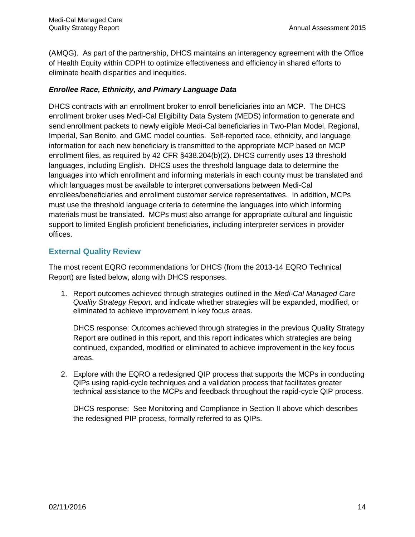(AMQG). As part of the partnership, DHCS maintains an interagency agreement with the Office of Health Equity within CDPH to optimize effectiveness and efficiency in shared efforts to eliminate health disparities and inequities.

#### *Enrollee Race, Ethnicity, and Primary Language Data*

DHCS contracts with an enrollment broker to enroll beneficiaries into an MCP. The DHCS enrollment broker uses Medi-Cal Eligibility Data System (MEDS) information to generate and send enrollment packets to newly eligible Medi-Cal beneficiaries in Two-Plan Model, Regional, Imperial, San Benito, and GMC model counties. Self-reported race, ethnicity, and language information for each new beneficiary is transmitted to the appropriate MCP based on MCP enrollment files, as required by 42 CFR §438.204(b)(2). DHCS currently uses 13 threshold languages, including English. DHCS uses the threshold language data to determine the languages into which enrollment and informing materials in each county must be translated and which languages must be available to interpret conversations between Medi-Cal enrollees/beneficiaries and enrollment customer service representatives. In addition, MCPs must use the threshold language criteria to determine the languages into which informing materials must be translated. MCPs must also arrange for appropriate cultural and linguistic support to limited English proficient beneficiaries, including interpreter services in provider offices.

#### **External Quality Review**

The most recent EQRO recommendations for DHCS (from the 2013-14 EQRO Technical Report) are listed below, along with DHCS responses.

1. Report outcomes achieved through strategies outlined in the *Medi-Cal Managed Care Quality Strategy Report,* and indicate whether strategies will be expanded, modified, or eliminated to achieve improvement in key focus areas.

DHCS response: Outcomes achieved through strategies in the previous Quality Strategy Report are outlined in this report, and this report indicates which strategies are being continued, expanded, modified or eliminated to achieve improvement in the key focus areas.

2. Explore with the EQRO a redesigned QIP process that supports the MCPs in conducting QIPs using rapid-cycle techniques and a validation process that facilitates greater technical assistance to the MCPs and feedback throughout the rapid-cycle QIP process.

DHCS response: See Monitoring and Compliance in Section II above which describes the redesigned PIP process, formally referred to as QIPs.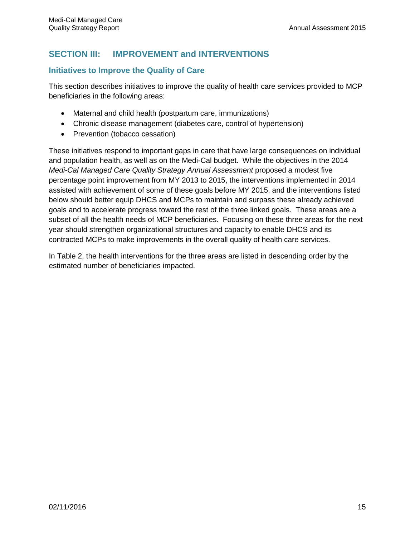# **SECTION III: IMPROVEMENT and INTERVENTIONS**

#### **Initiatives to Improve the Quality of Care**

This section describes initiatives to improve the quality of health care services provided to MCP beneficiaries in the following areas:

- Maternal and child health (postpartum care, immunizations)
- Chronic disease management (diabetes care, control of hypertension)
- Prevention (tobacco cessation)

These initiatives respond to important gaps in care that have large consequences on individual and population health, as well as on the Medi-Cal budget. While the objectives in the 2014 *Medi-Cal Managed Care Quality Strategy Annual Assessment proposed a modest five* percentage point improvement from MY 2013 to 2015, the interventions implemented in 2014 assisted with achievement of some of these goals before MY 2015, and the interventions listed below should better equip DHCS and MCPs to maintain and surpass these already achieved goals and to accelerate progress toward the rest of the three linked goals. These areas are a subset of all the health needs of MCP beneficiaries. Focusing on these three areas for the next year should strengthen organizational structures and capacity to enable DHCS and its contracted MCPs to make improvements in the overall quality of health care services.

In Table 2, the health interventions for the three areas are listed in descending order by the estimated number of beneficiaries impacted.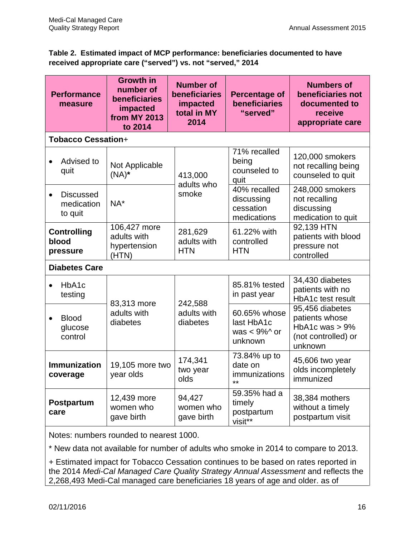#### **Table 2. Estimated impact of MCP performance: beneficiaries documented to have received appropriate care ("served") vs. not "served," 2014**

| <b>Performance</b><br>measure             | <b>Growth in</b><br>number of<br>beneficiaries<br>impacted<br><b>from MY 2013</b><br>to 2014 | <b>Number of</b><br>beneficiaries<br>impacted<br>total in MY<br>2014 | <b>Percentage of</b><br>beneficiaries<br>"served"         | <b>Numbers of</b><br>beneficiaries not<br>documented to<br>receive<br>appropriate care   |
|-------------------------------------------|----------------------------------------------------------------------------------------------|----------------------------------------------------------------------|-----------------------------------------------------------|------------------------------------------------------------------------------------------|
| <b>Tobacco Cessation+</b>                 |                                                                                              |                                                                      |                                                           |                                                                                          |
| Advised to<br>quit                        | Not Applicable<br>$(NA)^*$                                                                   | 413,000<br>adults who                                                | 71% recalled<br>being<br>counseled to<br>quit             | 120,000 smokers<br>not recalling being<br>counseled to quit                              |
| <b>Discussed</b><br>medication<br>to quit | $NA*$                                                                                        | smoke                                                                | 40% recalled<br>discussing<br>cessation<br>medications    | 248,000 smokers<br>not recalling<br>discussing<br>medication to quit                     |
| <b>Controlling</b><br>blood<br>pressure   | 106,427 more<br>adults with<br>hypertension<br>(HTN)                                         | 281,629<br>adults with<br><b>HTN</b>                                 | 61.22% with<br>controlled<br><b>HTN</b>                   | 92,139 HTN<br>patients with blood<br>pressure not<br>controlled                          |
| <b>Diabetes Care</b>                      |                                                                                              |                                                                      |                                                           |                                                                                          |
| HbA1c<br>testing                          | 83,313 more                                                                                  | 242,588                                                              | 85.81% tested<br>in past year                             | 34,430 diabetes<br>patients with no<br>HbA1c test result                                 |
| <b>Blood</b><br>glucose<br>control        | adults with<br>diabetes                                                                      | adults with<br>diabetes                                              | 60.65% whose<br>last HbA1c<br>was $< 9\%$ ^ or<br>unknown | 95,456 diabetes<br>patients whose<br>HbA1c was $> 9\%$<br>(not controlled) or<br>unknown |
| <b>Immunization</b><br>coverage           | 19,105 more two<br>year olds                                                                 | 174,341<br>two year<br>olds                                          | 73.84% up to<br>date on<br>immunizations<br>$**$          | 45,606 two year<br>olds incompletely<br>immunized                                        |
| Postpartum<br>care                        | 12,439 more<br>women who<br>gave birth                                                       | 94,427<br>women who<br>gave birth                                    | 59.35% had a<br>timely<br>postpartum<br>visit**           | 38,384 mothers<br>without a timely<br>postpartum visit                                   |

Notes: numbers rounded to nearest 1000.

\* New data not available for number of adults who smoke in 2014 to compare to 2013.

+ Estimated impact for Tobacco Cessation continues to be based on rates reported in the 2014 *Medi-Cal Managed Care Quality Strategy Annual Assessment* and reflects the 2,268,493 Medi-Cal managed care beneficiaries 18 years of age and older. as of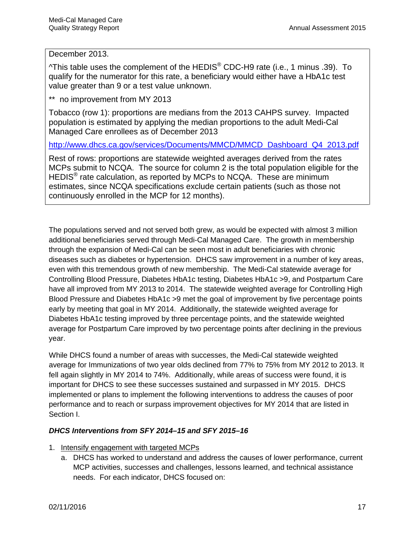#### December 2013.

 $\Delta$ This table uses the complement of the HEDIS<sup>®</sup> CDC-H9 rate (i.e., 1 minus .39). To qualify for the numerator for this rate, a beneficiary would either have a HbA1c test value greater than 9 or a test value unknown.

\*\* no improvement from MY 2013

Tobacco (row 1): proportions are medians from the 2013 CAHPS survey. Impacted population is estimated by applying the median proportions to the adult Medi-Cal Managed Care enrollees as of December 2013

[http://www.dhcs.ca.gov/services/Documents/MMCD/MMCD\\_Dashboard\\_Q4\\_2013.pdf](http://www.dhcs.ca.gov/services/Documents/MMCD/MMCD_Dashboard_Q4_2013.pdf)

Rest of rows: proportions are statewide weighted averages derived from the rates MCPs submit to NCQA. The source for column 2 is the total population eligible for the HEDIS<sup>®</sup> rate calculation, as reported by MCPs to NCQA. These are minimum estimates, since NCQA specifications exclude certain patients (such as those not continuously enrolled in the MCP for 12 months).

The populations served and not served both grew, as would be expected with almost 3 million additional beneficiaries served through Medi-Cal Managed Care. The growth in membership through the expansion of Medi-Cal can be seen most in adult beneficiaries with chronic diseases such as diabetes or hypertension. DHCS saw improvement in a number of key areas, even with this tremendous growth of new membership. The Medi-Cal statewide average for Controlling Blood Pressure, Diabetes HbA1c testing, Diabetes HbA1c >9, and Postpartum Care have all improved from MY 2013 to 2014. The statewide weighted average for Controlling High Blood Pressure and Diabetes HbA1c >9 met the goal of improvement by five percentage points early by meeting that goal in MY 2014. Additionally, the statewide weighted average for Diabetes HbA1c testing improved by three percentage points, and the statewide weighted average for Postpartum Care improved by two percentage points after declining in the previous year.

While DHCS found a number of areas with successes, the Medi-Cal statewide weighted average for Immunizations of two year olds declined from 77% to 75% from MY 2012 to 2013. It fell again slightly in MY 2014 to 74%. Additionally, while areas of success were found, it is important for DHCS to see these successes sustained and surpassed in MY 2015. DHCS implemented or plans to implement the following interventions to address the causes of poor performance and to reach or surpass improvement objectives for MY 2014 that are listed in Section I.

#### *DHCS Interventions from SFY 2014–15 and SFY 2015–16*

- 1. Intensify engagement with targeted MCPs
	- a. DHCS has worked to understand and address the causes of lower performance, current MCP activities, successes and challenges, lessons learned, and technical assistance needs. For each indicator, DHCS focused on: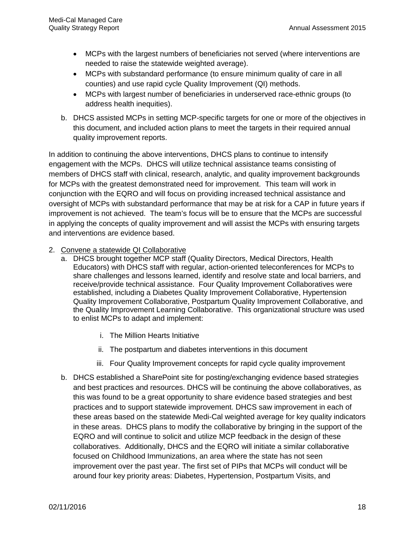- MCPs with the largest numbers of beneficiaries not served (where interventions are needed to raise the statewide weighted average).
- MCPs with substandard performance (to ensure minimum quality of care in all counties) and use rapid cycle Quality Improvement (QI) methods.
- MCPs with largest number of beneficiaries in underserved race-ethnic groups (to address health inequities).
- b. DHCS assisted MCPs in setting MCP-specific targets for one or more of the objectives in this document, and included action plans to meet the targets in their required annual quality improvement reports.

In addition to continuing the above interventions, DHCS plans to continue to intensify engagement with the MCPs. DHCS will utilize technical assistance teams consisting of members of DHCS staff with clinical, research, analytic, and quality improvement backgrounds for MCPs with the greatest demonstrated need for improvement. This team will work in conjunction with the EQRO and will focus on providing increased technical assistance and oversight of MCPs with substandard performance that may be at risk for a CAP in future years if improvement is not achieved. The team's focus will be to ensure that the MCPs are successful in applying the concepts of quality improvement and will assist the MCPs with ensuring targets and interventions are evidence based.

- 2. Convene a statewide QI Collaborative
	- a. DHCS brought together MCP staff (Quality Directors, Medical Directors, Health Educators) with DHCS staff with regular, action-oriented teleconferences for MCPs to share challenges and lessons learned, identify and resolve state and local barriers, and receive/provide technical assistance. Four Quality Improvement Collaboratives were established, including a Diabetes Quality Improvement Collaborative, Hypertension Quality Improvement Collaborative, Postpartum Quality Improvement Collaborative, and the Quality Improvement Learning Collaborative. This organizational structure was used to enlist MCPs to adapt and implement:
		- i. The Million Hearts Initiative
		- ii. The postpartum and diabetes interventions in this document
		- iii. Four Quality Improvement concepts for rapid cycle quality improvement
	- b. DHCS established a SharePoint site for posting/exchanging evidence based strategies and best practices and resources. DHCS will be continuing the above collaboratives, as this was found to be a great opportunity to share evidence based strategies and best practices and to support statewide improvement. DHCS saw improvement in each of these areas based on the statewide Medi-Cal weighted average for key quality indicators in these areas. DHCS plans to modify the collaborative by bringing in the support of the EQRO and will continue to solicit and utilize MCP feedback in the design of these collaboratives. Additionally, DHCS and the EQRO will initiate a similar collaborative focused on Childhood Immunizations, an area where the state has not seen improvement over the past year. The first set of PIPs that MCPs will conduct will be around four key priority areas: Diabetes, Hypertension, Postpartum Visits, and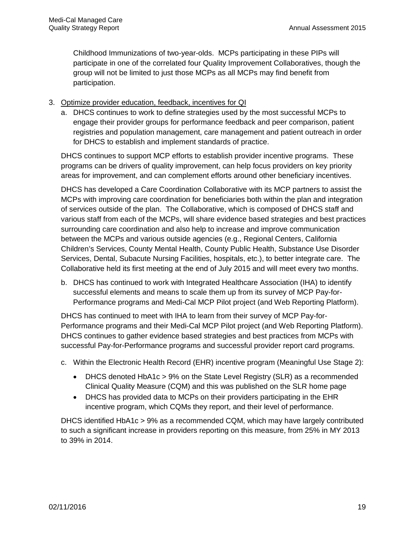Childhood Immunizations of two-year-olds. MCPs participating in these PIPs will participate in one of the correlated four Quality Improvement Collaboratives, though the group will not be limited to just those MCPs as all MCPs may find benefit from participation.

#### 3. Optimize provider education, feedback, incentives for QI

a. DHCS continues to work to define strategies used by the most successful MCPs to engage their provider groups for performance feedback and peer comparison, patient registries and population management, care management and patient outreach in order for DHCS to establish and implement standards of practice.

DHCS continues to support MCP efforts to establish provider incentive programs. These programs can be drivers of quality improvement, can help focus providers on key priority areas for improvement, and can complement efforts around other beneficiary incentives.

DHCS has developed a Care Coordination Collaborative with its MCP partners to assist the MCPs with improving care coordination for beneficiaries both within the plan and integration of services outside of the plan. The Collaborative, which is composed of DHCS staff and various staff from each of the MCPs, will share evidence based strategies and best practices surrounding care coordination and also help to increase and improve communication between the MCPs and various outside agencies (e.g., Regional Centers, California Children's Services, County Mental Health, County Public Health, Substance Use Disorder Services, Dental, Subacute Nursing Facilities, hospitals, etc.), to better integrate care. The Collaborative held its first meeting at the end of July 2015 and will meet every two months.

b. DHCS has continued to work with Integrated Healthcare Association (IHA) to identify successful elements and means to scale them up from its survey of MCP Pay-for-Performance programs and Medi-Cal MCP Pilot project (and Web Reporting Platform).

DHCS has continued to meet with IHA to learn from their survey of MCP Pay-for-Performance programs and their Medi-Cal MCP Pilot project (and Web Reporting Platform). DHCS continues to gather evidence based strategies and best practices from MCPs with successful Pay-for-Performance programs and successful provider report card programs.

- c. Within the Electronic Health Record (EHR) incentive program (Meaningful Use Stage 2):
	- DHCS denoted HbA1c > 9% on the State Level Registry (SLR) as a recommended Clinical Quality Measure (CQM) and this was published on the SLR home page
	- DHCS has provided data to MCPs on their providers participating in the EHR incentive program, which CQMs they report, and their level of performance.

DHCS identified HbA1c > 9% as a recommended CQM, which may have largely contributed to such a significant increase in providers reporting on this measure, from 25% in MY 2013 to 39% in 2014.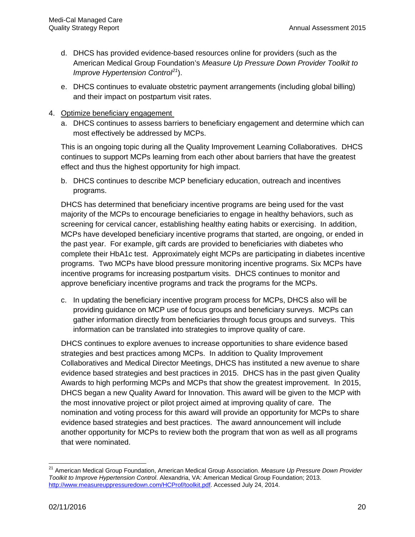- d. DHCS has provided evidence-based resources online for providers (such as the American Medical Group Foundation's *Measure Up Pressure Down Provider Toolkit to Improve Hypertension Control[21](#page-26-0)*).
- e. DHCS continues to evaluate obstetric payment arrangements (including global billing) and their impact on postpartum visit rates.
- 4. Optimize beneficiary engagement
	- a. DHCS continues to assess barriers to beneficiary engagement and determine which can most effectively be addressed by MCPs.

This is an ongoing topic during all the Quality Improvement Learning Collaboratives. DHCS continues to support MCPs learning from each other about barriers that have the greatest effect and thus the highest opportunity for high impact.

b. DHCS continues to describe MCP beneficiary education, outreach and incentives programs.

DHCS has determined that beneficiary incentive programs are being used for the vast majority of the MCPs to encourage beneficiaries to engage in healthy behaviors, such as screening for cervical cancer, establishing healthy eating habits or exercising. In addition, MCPs have developed beneficiary incentive programs that started, are ongoing, or ended in the past year. For example, gift cards are provided to beneficiaries with diabetes who complete their HbA1c test. Approximately eight MCPs are participating in diabetes incentive programs. Two MCPs have blood pressure monitoring incentive programs. Six MCPs have incentive programs for increasing postpartum visits. DHCS continues to monitor and approve beneficiary incentive programs and track the programs for the MCPs.

c. In updating the beneficiary incentive program process for MCPs, DHCS also will be providing guidance on MCP use of focus groups and beneficiary surveys. MCPs can gather information directly from beneficiaries through focus groups and surveys. This information can be translated into strategies to improve quality of care.

DHCS continues to explore avenues to increase opportunities to share evidence based strategies and best practices among MCPs. In addition to Quality Improvement Collaboratives and Medical Director Meetings, DHCS has instituted a new avenue to share evidence based strategies and best practices in 2015. DHCS has in the past given Quality Awards to high performing MCPs and MCPs that show the greatest improvement. In 2015, DHCS began a new Quality Award for Innovation. This award will be given to the MCP with the most innovative project or pilot project aimed at improving quality of care. The nomination and voting process for this award will provide an opportunity for MCPs to share evidence based strategies and best practices. The award announcement will include another opportunity for MCPs to review both the program that won as well as all programs that were nominated.

 $\overline{\phantom{a}}$ 

<span id="page-26-0"></span><sup>21</sup> American Medical Group Foundation, American Medical Group Association. *Measure Up Pressure Down Provider Toolkit to Improve Hypertension Control*. Alexandria, VA: American Medical Group Foundation; 2013. [http://www.measureuppressuredown.com/HCProf/toolkit.pdf.](http://www.measureuppressuredown.com/HCProf/toolkit.pdf) Accessed July 24, 2014.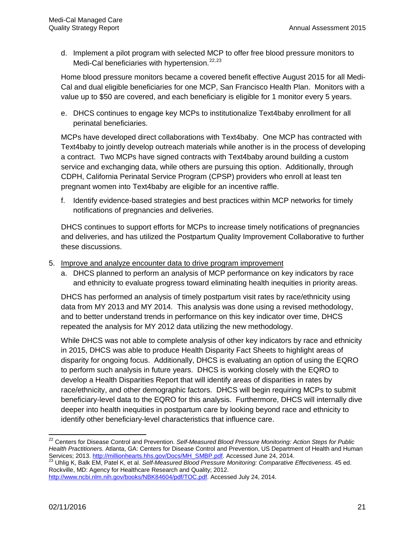d. Implement a pilot program with selected MCP to offer free blood pressure monitors to Medi-Cal beneficiaries with hypertension.<sup>[22,](#page-27-0)[23](#page-27-1)</sup>

Home blood pressure monitors became a covered benefit effective August 2015 for all Medi-Cal and dual eligible beneficiaries for one MCP, San Francisco Health Plan. Monitors with a value up to \$50 are covered, and each beneficiary is eligible for 1 monitor every 5 years.

e. DHCS continues to engage key MCPs to institutionalize Text4baby enrollment for all perinatal beneficiaries.

MCPs have developed direct collaborations with Text4baby. One MCP has contracted with Text4baby to jointly develop outreach materials while another is in the process of developing a contract. Two MCPs have signed contracts with Text4baby around building a custom service and exchanging data, while others are pursuing this option. Additionally, through CDPH, California Perinatal Service Program (CPSP) providers who enroll at least ten pregnant women into Text4baby are eligible for an incentive raffle.

f. Identify evidence-based strategies and best practices within MCP networks for timely notifications of pregnancies and deliveries.

DHCS continues to support efforts for MCPs to increase timely notifications of pregnancies and deliveries, and has utilized the Postpartum Quality Improvement Collaborative to further these discussions.

- 5. Improve and analyze encounter data to drive program improvement
	- a. DHCS planned to perform an analysis of MCP performance on key indicators by race and ethnicity to evaluate progress toward eliminating health inequities in priority areas.

DHCS has performed an analysis of timely postpartum visit rates by race/ethnicity using data from MY 2013 and MY 2014. This analysis was done using a revised methodology, and to better understand trends in performance on this key indicator over time, DHCS repeated the analysis for MY 2012 data utilizing the new methodology.

While DHCS was not able to complete analysis of other key indicators by race and ethnicity in 2015, DHCS was able to produce Health Disparity Fact Sheets to highlight areas of disparity for ongoing focus. Additionally, DHCS is evaluating an option of using the EQRO to perform such analysis in future years. DHCS is working closely with the EQRO to develop a Health Disparities Report that will identify areas of disparities in rates by race/ethnicity, and other demographic factors. DHCS will begin requiring MCPs to submit beneficiary-level data to the EQRO for this analysis. Furthermore, DHCS will internally dive deeper into health inequities in postpartum care by looking beyond race and ethnicity to identify other beneficiary-level characteristics that influence care.

 $\overline{\phantom{a}}$ 

<span id="page-27-0"></span><sup>22</sup> Centers for Disease Control and Prevention. *Self-Measured Blood Pressure Monitoring: Action Steps for Public Health Practitioners.* Atlanta, GA: Centers for Disease Control and Prevention, US Department of Health and Human Services; 2013[. http://millionhearts.hhs.gov/Docs/MH\\_SMBP.pdf.](http://millionhearts.hhs.gov/Docs/MH_SMBP.pdf) Accessed June 24, 2014.<br><sup>23</sup> Uhlig K, Balk EM, Patel K, et al. *Self-Measured Blood Pressure Monitoring: Comparative Effectiveness.* 45 ed.

<span id="page-27-1"></span>Rockville, MD: Agency for Healthcare Research and Quality; 2012.

[http://www.ncbi.nlm.nih.gov/books/NBK84604/pdf/TOC.pdf.](http://www.ncbi.nlm.nih.gov/books/NBK84604/pdf/TOC.pdf) Accessed July 24, 2014.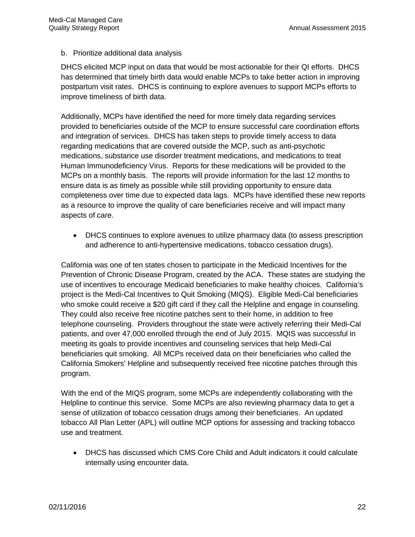#### b. Prioritize additional data analysis

DHCS elicited MCP input on data that would be most actionable for their QI efforts. DHCS has determined that timely birth data would enable MCPs to take better action in improving postpartum visit rates. DHCS is continuing to explore avenues to support MCPs efforts to improve timeliness of birth data.

Additionally, MCPs have identified the need for more timely data regarding services provided to beneficiaries outside of the MCP to ensure successful care coordination efforts and integration of services. DHCS has taken steps to provide timely access to data regarding medications that are covered outside the MCP, such as anti-psychotic medications, substance use disorder treatment medications, and medications to treat Human Immunodeficiency Virus. Reports for these medications will be provided to the MCPs on a monthly basis. The reports will provide information for the last 12 months to ensure data is as timely as possible while still providing opportunity to ensure data completeness over time due to expected data lags. MCPs have identified these new reports as a resource to improve the quality of care beneficiaries receive and will impact many aspects of care.

• DHCS continues to explore avenues to utilize pharmacy data (to assess prescription and adherence to anti-hypertensive medications, tobacco cessation drugs).

California was one of ten states chosen to participate in the Medicaid Incentives for the Prevention of Chronic Disease Program, created by the ACA. These states are studying the use of incentives to encourage Medicaid beneficiaries to make healthy choices. California's project is the Medi-Cal Incentives to Quit Smoking (MIQS). Eligible Medi-Cal beneficiaries who smoke could receive a \$20 gift card if they call the Helpline and engage in counseling. They could also receive free nicotine patches sent to their home, in addition to free telephone counseling. Providers throughout the state were actively referring their Medi-Cal patients, and over 47,000 enrolled through the end of July 2015. MQIS was successful in meeting its goals to provide incentives and counseling services that help Medi-Cal beneficiaries quit smoking. All MCPs received data on their beneficiaries who called the California Smokers' Helpline and subsequently received free nicotine patches through this program.

With the end of the MIQS program, some MCPs are independently collaborating with the Helpline to continue this service. Some MCPs are also reviewing pharmacy data to get a sense of utilization of tobacco cessation drugs among their beneficiaries. An updated tobacco All Plan Letter (APL) will outline MCP options for assessing and tracking tobacco use and treatment.

• DHCS has discussed which CMS Core Child and Adult indicators it could calculate internally using encounter data.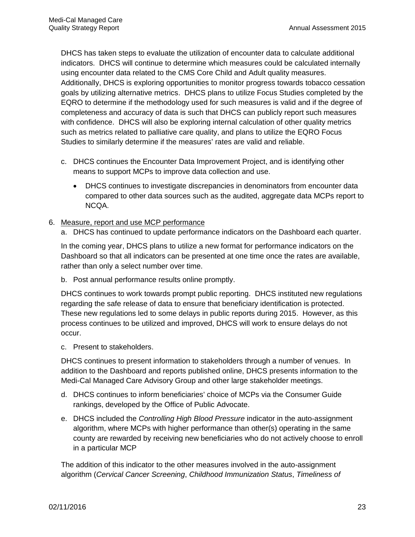DHCS has taken steps to evaluate the utilization of encounter data to calculate additional indicators. DHCS will continue to determine which measures could be calculated internally using encounter data related to the CMS Core Child and Adult quality measures. Additionally, DHCS is exploring opportunities to monitor progress towards tobacco cessation goals by utilizing alternative metrics. DHCS plans to utilize Focus Studies completed by the EQRO to determine if the methodology used for such measures is valid and if the degree of completeness and accuracy of data is such that DHCS can publicly report such measures with confidence. DHCS will also be exploring internal calculation of other quality metrics such as metrics related to palliative care quality, and plans to utilize the EQRO Focus Studies to similarly determine if the measures' rates are valid and reliable.

- c. DHCS continues the Encounter Data Improvement Project, and is identifying other means to support MCPs to improve data collection and use.
	- DHCS continues to investigate discrepancies in denominators from encounter data compared to other data sources such as the audited, aggregate data MCPs report to NCQA.
- 6. Measure, report and use MCP performance
	- a. DHCS has continued to update performance indicators on the Dashboard each quarter.

In the coming year, DHCS plans to utilize a new format for performance indicators on the Dashboard so that all indicators can be presented at one time once the rates are available, rather than only a select number over time.

b. Post annual performance results online promptly.

DHCS continues to work towards prompt public reporting. DHCS instituted new regulations regarding the safe release of data to ensure that beneficiary identification is protected. These new regulations led to some delays in public reports during 2015. However, as this process continues to be utilized and improved, DHCS will work to ensure delays do not occur.

c. Present to stakeholders.

DHCS continues to present information to stakeholders through a number of venues. In addition to the Dashboard and reports published online, DHCS presents information to the Medi-Cal Managed Care Advisory Group and other large stakeholder meetings.

- d. DHCS continues to inform beneficiaries' choice of MCPs via the Consumer Guide rankings, developed by the Office of Public Advocate.
- e. DHCS included the *Controlling High Blood Pressure* indicator in the auto-assignment algorithm, where MCPs with higher performance than other(s) operating in the same county are rewarded by receiving new beneficiaries who do not actively choose to enroll in a particular MCP

The addition of this indicator to the other measures involved in the auto-assignment algorithm (*Cervical Cancer Screening*, *Childhood Immunization Status*, *Timeliness of*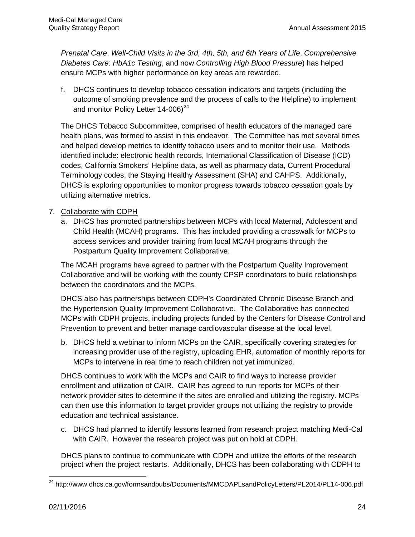*Prenatal Care*, *Well-Child Visits in the 3rd, 4th, 5th, and 6th Years of Life*, *Comprehensive Diabetes Care*: *HbA1c Testing*, and now *Controlling High Blood Pressure*) has helped ensure MCPs with higher performance on key areas are rewarded.

f. DHCS continues to develop tobacco cessation indicators and targets (including the outcome of smoking prevalence and the process of calls to the Helpline) to implement and monitor Policy Letter 14-006)<sup>24</sup>

The DHCS Tobacco Subcommittee, comprised of health educators of the managed care health plans, was formed to assist in this endeavor. The Committee has met several times and helped develop metrics to identify tobacco users and to monitor their use. Methods identified include: electronic health records, International Classification of Disease (ICD) codes, California Smokers' Helpline data, as well as pharmacy data, Current Procedural Terminology codes, the Staying Healthy Assessment (SHA) and CAHPS. Additionally, DHCS is exploring opportunities to monitor progress towards tobacco cessation goals by utilizing alternative metrics.

#### 7. Collaborate with CDPH

a. DHCS has promoted partnerships between MCPs with local Maternal, Adolescent and Child Health (MCAH) programs. This has included providing a crosswalk for MCPs to access services and provider training from local MCAH programs through the Postpartum Quality Improvement Collaborative.

The MCAH programs have agreed to partner with the Postpartum Quality Improvement Collaborative and will be working with the county CPSP coordinators to build relationships between the coordinators and the MCPs.

DHCS also has partnerships between CDPH's Coordinated Chronic Disease Branch and the Hypertension Quality Improvement Collaborative. The Collaborative has connected MCPs with CDPH projects, including projects funded by the Centers for Disease Control and Prevention to prevent and better manage cardiovascular disease at the local level.

b. DHCS held a webinar to inform MCPs on the CAIR, specifically covering strategies for increasing provider use of the registry, uploading EHR, automation of monthly reports for MCPs to intervene in real time to reach children not yet immunized.

DHCS continues to work with the MCPs and CAIR to find ways to increase provider enrollment and utilization of CAIR. CAIR has agreed to run reports for MCPs of their network provider sites to determine if the sites are enrolled and utilizing the registry. MCPs can then use this information to target provider groups not utilizing the registry to provide education and technical assistance.

c. DHCS had planned to identify lessons learned from research project matching Medi-Cal with CAIR. However the research project was put on hold at CDPH.

DHCS plans to continue to communicate with CDPH and utilize the efforts of the research project when the project restarts. Additionally, DHCS has been collaborating with CDPH to

<span id="page-30-0"></span>l <sup>24</sup> http://www.dhcs.ca.gov/formsandpubs/Documents/MMCDAPLsandPolicyLetters/PL2014/PL14-006.pdf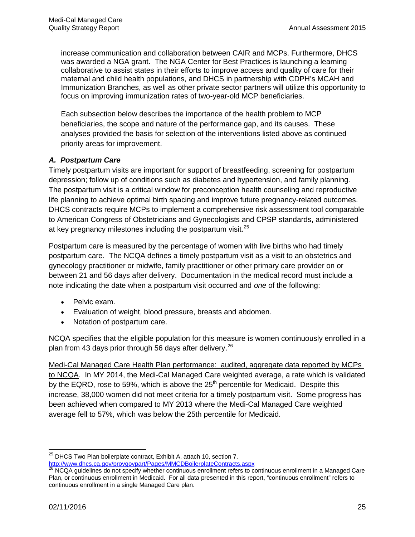increase communication and collaboration between CAIR and MCPs. Furthermore, DHCS was awarded a NGA grant. The NGA Center for Best Practices is launching a learning collaborative to assist states in their efforts to improve access and quality of care for their maternal and child health populations, and DHCS in partnership with CDPH's MCAH and Immunization Branches, as well as other private sector partners will utilize this opportunity to focus on improving immunization rates of two-year-old MCP beneficiaries.

Each subsection below describes the importance of the health problem to MCP beneficiaries, the scope and nature of the performance gap, and its causes. These analyses provided the basis for selection of the interventions listed above as continued priority areas for improvement.

#### *A. Postpartum Care*

Timely postpartum visits are important for support of breastfeeding, screening for postpartum depression; follow up of conditions such as diabetes and hypertension, and family planning. The postpartum visit is a critical window for preconception health counseling and reproductive life planning to achieve optimal birth spacing and improve future pregnancy-related outcomes. DHCS contracts require MCPs to implement a comprehensive risk assessment tool comparable to American Congress of Obstetricians and Gynecologists and CPSP standards, administered at key pregnancy milestones including the postpartum visit.<sup>[25](#page-31-0)</sup>

Postpartum care is measured by the percentage of women with live births who had timely postpartum care. The NCQA defines a timely postpartum visit as a visit to an obstetrics and gynecology practitioner or midwife, family practitioner or other primary care provider on or between 21 and 56 days after delivery. Documentation in the medical record must include a note indicating the date when a postpartum visit occurred and *one* of the following:

- Pelvic exam.
- Evaluation of weight, blood pressure, breasts and abdomen.
- Notation of postpartum care.

NCQA specifies that the eligible population for this measure is women continuously enrolled in a plan from 43 days prior through 56 days after delivery. [26](#page-31-1) 

Medi-Cal Managed Care Health Plan performance: audited, aggregate data reported by MCPs to NCQA. In MY 2014, the Medi-Cal Managed Care weighted average, a rate which is validated by the EQRO, rose to 59%, which is above the  $25<sup>th</sup>$  percentile for Medicaid. Despite this increase, 38,000 women did not meet criteria for a timely postpartum visit. Some progress has been achieved when compared to MY 2013 where the Medi-Cal Managed Care weighted average fell to 57%, which was below the 25th percentile for Medicaid.

<span id="page-31-0"></span> $\overline{\phantom{a}}$ <sup>25</sup> DHCS Two Plan boilerplate contract, Exhibit A, attach 10, section 7. <http://www.dhcs.ca.gov/provgovpart/Pages/MMCDBoilerplateContracts.aspx>

<span id="page-31-1"></span><sup>&</sup>lt;sup>26</sup> NCQA guidelines do not specify whether continuous enrollment refers to continuous enrollment in a Managed Care Plan, or continuous enrollment in Medicaid. For all data presented in this report, "continuous enrollment" refers to continuous enrollment in a single Managed Care plan.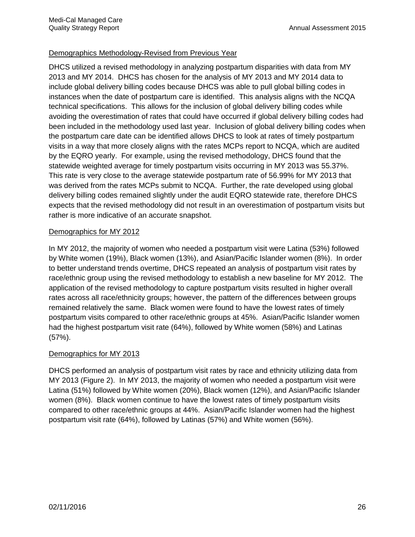#### Demographics Methodology-Revised from Previous Year

DHCS utilized a revised methodology in analyzing postpartum disparities with data from MY 2013 and MY 2014. DHCS has chosen for the analysis of MY 2013 and MY 2014 data to include global delivery billing codes because DHCS was able to pull global billing codes in instances when the date of postpartum care is identified. This analysis aligns with the NCQA technical specifications. This allows for the inclusion of global delivery billing codes while avoiding the overestimation of rates that could have occurred if global delivery billing codes had been included in the methodology used last year. Inclusion of global delivery billing codes when the postpartum care date can be identified allows DHCS to look at rates of timely postpartum visits in a way that more closely aligns with the rates MCPs report to NCQA, which are audited by the EQRO yearly. For example, using the revised methodology, DHCS found that the statewide weighted average for timely postpartum visits occurring in MY 2013 was 55.37%. This rate is very close to the average statewide postpartum rate of 56.99% for MY 2013 that was derived from the rates MCPs submit to NCQA. Further, the rate developed using global delivery billing codes remained slightly under the audit EQRO statewide rate, therefore DHCS expects that the revised methodology did not result in an overestimation of postpartum visits but rather is more indicative of an accurate snapshot.

#### Demographics for MY 2012

In MY 2012, the majority of women who needed a postpartum visit were Latina (53%) followed by White women (19%), Black women (13%), and Asian/Pacific Islander women (8%). In order to better understand trends overtime, DHCS repeated an analysis of postpartum visit rates by race/ethnic group using the revised methodology to establish a new baseline for MY 2012. The application of the revised methodology to capture postpartum visits resulted in higher overall rates across all race/ethnicity groups; however, the pattern of the differences between groups remained relatively the same. Black women were found to have the lowest rates of timely postpartum visits compared to other race/ethnic groups at 45%. Asian/Pacific Islander women had the highest postpartum visit rate (64%), followed by White women (58%) and Latinas (57%).

#### Demographics for MY 2013

DHCS performed an analysis of postpartum visit rates by race and ethnicity utilizing data from MY 2013 (Figure 2). In MY 2013, the majority of women who needed a postpartum visit were Latina (51%) followed by White women (20%), Black women (12%), and Asian/Pacific Islander women (8%). Black women continue to have the lowest rates of timely postpartum visits compared to other race/ethnic groups at 44%. Asian/Pacific Islander women had the highest postpartum visit rate (64%), followed by Latinas (57%) and White women (56%).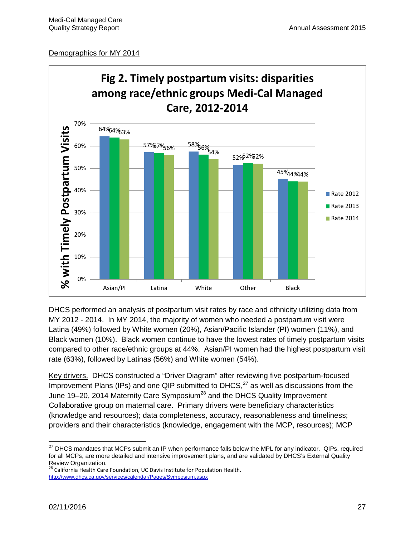#### Demographics for MY 2014



DHCS performed an analysis of postpartum visit rates by race and ethnicity utilizing data from MY 2012 - 2014. In MY 2014, the majority of women who needed a postpartum visit were Latina (49%) followed by White women (20%), Asian/Pacific Islander (PI) women (11%), and Black women (10%). Black women continue to have the lowest rates of timely postpartum visits compared to other race/ethnic groups at 44%. Asian/PI women had the highest postpartum visit rate (63%), followed by Latinas (56%) and White women (54%).

Key drivers. DHCS constructed a "Driver Diagram" after reviewing five postpartum-focused Improvement Plans (IPs) and one QIP submitted to DHCS, $^{27}$  $^{27}$  $^{27}$  as well as discussions from the June 19–20, 2014 Maternity Care Symposium<sup>[28](#page-33-1)</sup> and the DHCS Quality Improvement Collaborative group on maternal care. Primary drivers were beneficiary characteristics (knowledge and resources); data completeness, accuracy, reasonableness and timeliness; providers and their characteristics (knowledge, engagement with the MCP, resources); MCP

<span id="page-33-0"></span>l  $^{27}$  DHCS mandates that MCPs submit an IP when performance falls below the MPL for any indicator. QIPs, required for all MCPs, are more detailed and intensive improvement plans, and are validated by DHCS's External Quality Review Organization.

<span id="page-33-1"></span>California Health Care Foundation, UC Davis Institute for Population Health. [http://www.dhcs.ca.gov/services/calendar/Pages/Symposium.aspx](http://www.google.com/url?q=http%3A%2F%2Fwww.dhcs.ca.gov%2Fservices%2Fcalendar%2FPages%2FSymposium.aspx&sa=D&sntz=1&usg=AFQjCNHjBJTXLjybdSVoQ_YwMCzsh5tNGA)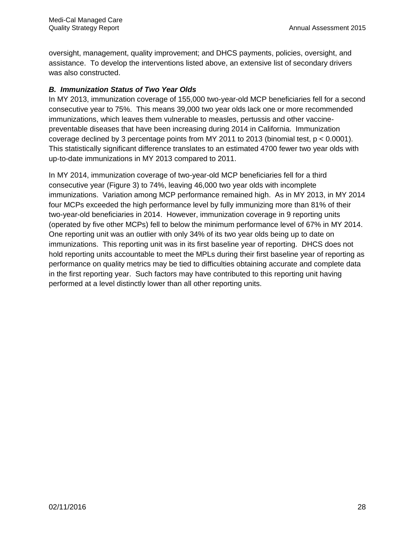oversight, management, quality improvement; and DHCS payments, policies, oversight, and assistance. To develop the interventions listed above, an extensive list of secondary drivers was also constructed.

#### *B. Immunization Status of Two Year Olds*

In MY 2013, immunization coverage of 155,000 two-year-old MCP beneficiaries fell for a second consecutive year to 75%. This means 39,000 two year olds lack one or more recommended immunizations, which leaves them vulnerable to measles, pertussis and other vaccinepreventable diseases that have been increasing during 2014 in California. Immunization coverage declined by 3 percentage points from MY 2011 to 2013 (binomial test, p < 0.0001). This statistically significant difference translates to an estimated 4700 fewer two year olds with up-to-date immunizations in MY 2013 compared to 2011.

In MY 2014, immunization coverage of two-year-old MCP beneficiaries fell for a third consecutive year (Figure 3) to 74%, leaving 46,000 two year olds with incomplete immunizations. Variation among MCP performance remained high. As in MY 2013, in MY 2014 four MCPs exceeded the high performance level by fully immunizing more than 81% of their two-year-old beneficiaries in 2014. However, immunization coverage in 9 reporting units (operated by five other MCPs) fell to below the minimum performance level of 67% in MY 2014. One reporting unit was an outlier with only 34% of its two year olds being up to date on immunizations. This reporting unit was in its first baseline year of reporting. DHCS does not hold reporting units accountable to meet the MPLs during their first baseline year of reporting as performance on quality metrics may be tied to difficulties obtaining accurate and complete data in the first reporting year. Such factors may have contributed to this reporting unit having performed at a level distinctly lower than all other reporting units.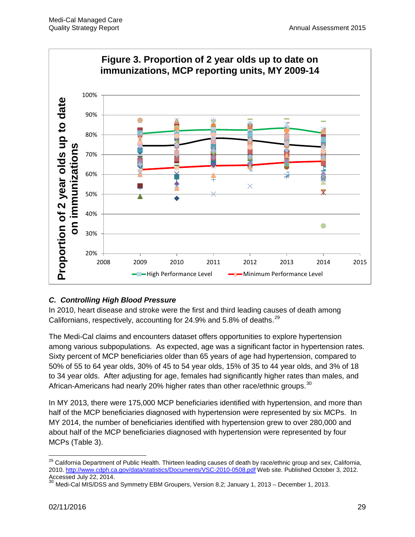

# *C. Controlling High Blood Pressure*

In 2010, heart disease and stroke were the first and third leading causes of death among Californians, respectively, accounting for 24.9% and 5.8% of deaths.  $29$ 

The Medi-Cal claims and encounters dataset offers opportunities to explore hypertension among various subpopulations. As expected, age was a significant factor in hypertension rates. Sixty percent of MCP beneficiaries older than 65 years of age had hypertension, compared to 50% of 55 to 64 year olds, 30% of 45 to 54 year olds, 15% of 35 to 44 year olds, and 3% of 18 to 34 year olds. After adjusting for age, females had significantly higher rates than males, and African-Americans had nearly 20% higher rates than other race/ethnic groups.<sup>[30](#page-35-1)</sup>

In MY 2013, there were 175,000 MCP beneficiaries identified with hypertension, and more than half of the MCP beneficiaries diagnosed with hypertension were represented by six MCPs. In MY 2014, the number of beneficiaries identified with hypertension grew to over 280,000 and about half of the MCP beneficiaries diagnosed with hypertension were represented by four MCPs (Table 3).

<span id="page-35-0"></span> $\overline{\phantom{a}}$ <sup>29</sup> California Department of Public Health. Thirteen leading causes of death by race/ethnic group and sex, California, 2010.<http://www.cdph.ca.gov/data/statistics/Documents/VSC-2010-0508.pdf> Web site. Published October 3, 2012. Accessed July 22, 2014.

<span id="page-35-1"></span>Medi-Cal MIS/DSS and Symmetry EBM Groupers, Version 8.2; January 1, 2013 – December 1, 2013.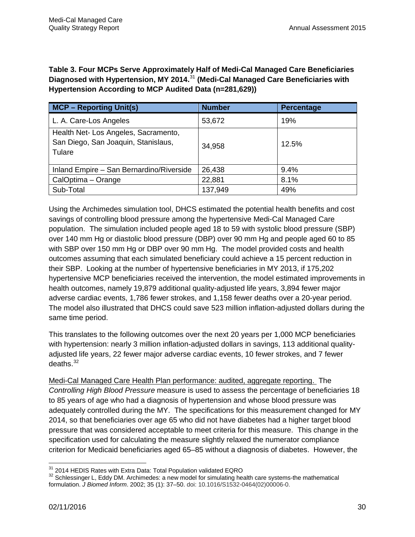**Table 3. Four MCPs Serve Approximately Half of Medi-Cal Managed Care Beneficiaries Diagnosed with Hypertension, MY 2014.**[31](#page-36-0) **(Medi-Cal Managed Care Beneficiaries with Hypertension According to MCP Audited Data (n=281,629))** 

| <b>MCP - Reporting Unit(s)</b>                                                        | <b>Number</b> | <b>Percentage</b> |
|---------------------------------------------------------------------------------------|---------------|-------------------|
| L. A. Care-Los Angeles                                                                | 53,672        | 19%               |
| Health Net- Los Angeles, Sacramento,<br>San Diego, San Joaquin, Stanislaus,<br>Tulare | 34,958        | 12.5%             |
| Inland Empire - San Bernardino/Riverside                                              | 26,438        | 9.4%              |
| CalOptima - Orange                                                                    | 22,881        | 8.1%              |
| Sub-Total                                                                             | 137,949       | 49%               |

Using the Archimedes simulation tool, DHCS estimated the potential health benefits and cost savings of controlling blood pressure among the hypertensive Medi-Cal Managed Care population. The simulation included people aged 18 to 59 with systolic blood pressure (SBP) over 140 mm Hg or diastolic blood pressure (DBP) over 90 mm Hg and people aged 60 to 85 with SBP over 150 mm Hg or DBP over 90 mm Hg. The model provided costs and health outcomes assuming that each simulated beneficiary could achieve a 15 percent reduction in their SBP. Looking at the number of hypertensive beneficiaries in MY 2013, if 175,202 hypertensive MCP beneficiaries received the intervention, the model estimated improvements in health outcomes, namely 19,879 additional quality-adjusted life years, 3,894 fewer major adverse cardiac events, 1,786 fewer strokes, and 1,158 fewer deaths over a 20-year period. The model also illustrated that DHCS could save 523 million inflation-adjusted dollars during the same time period.

This translates to the following outcomes over the next 20 years per 1,000 MCP beneficiaries with hypertension: nearly 3 million inflation-adjusted dollars in savings, 113 additional qualityadjusted life years, 22 fewer major adverse cardiac events, 10 fewer strokes, and 7 fewer deaths. [32](#page-36-1)

Medi-Cal Managed Care Health Plan performance: audited, aggregate reporting. The *Controlling High Blood Pressure* measure is used to assess the percentage of beneficiaries 18 to 85 years of age who had a diagnosis of hypertension and whose blood pressure was adequately controlled during the MY. The specifications for this measurement changed for MY 2014, so that beneficiaries over age 65 who did not have diabetes had a higher target blood pressure that was considered acceptable to meet criteria for this measure. This change in the specification used for calculating the measure slightly relaxed the numerator compliance criterion for Medicaid beneficiaries aged 65–85 without a diagnosis of diabetes. However, the

<span id="page-36-0"></span><sup>&</sup>lt;sup>31</sup> 2014 HEDIS Rates with Extra Data: Total Population validated EQRO

<span id="page-36-1"></span> $32$  Schlessinger L, Eddy DM. Archimedes: a new model for simulating health care systems-the mathematical formulation. *J Biomed Inform*. 2002; 35 (1): 37–50. doi: 10.1016/S1532-0464(02)00006-0.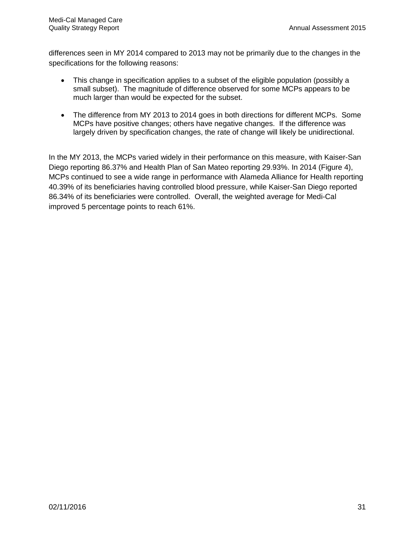differences seen in MY 2014 compared to 2013 may not be primarily due to the changes in the specifications for the following reasons:

- This change in specification applies to a subset of the eligible population (possibly a small subset). The magnitude of difference observed for some MCPs appears to be much larger than would be expected for the subset.
- The difference from MY 2013 to 2014 goes in both directions for different MCPs. Some MCPs have positive changes; others have negative changes. If the difference was largely driven by specification changes, the rate of change will likely be unidirectional.

In the MY 2013, the MCPs varied widely in their performance on this measure, with Kaiser-San Diego reporting 86.37% and Health Plan of San Mateo reporting 29.93%. In 2014 (Figure 4), MCPs continued to see a wide range in performance with Alameda Alliance for Health reporting 40.39% of its beneficiaries having controlled blood pressure, while Kaiser-San Diego reported 86.34% of its beneficiaries were controlled. Overall, the weighted average for Medi-Cal improved 5 percentage points to reach 61%.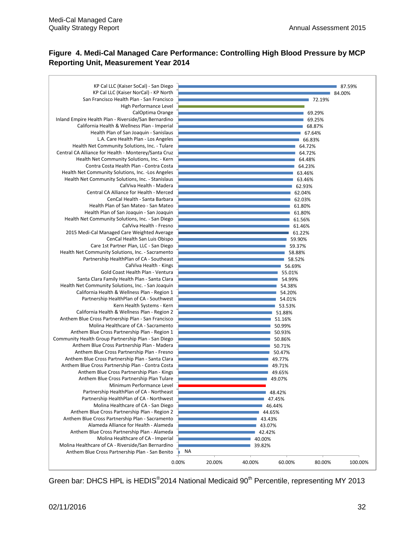#### **Figure 4. Medi-Cal Managed Care Performance: Controlling High Blood Pressure by MCP Reporting Unit, Measurement Year 2014**

| KP Cal LLC (Kaiser SoCal) - San Diego<br>KP Cal LLC (Kaiser NorCal) - KP North | 84.00% | 87.59% |
|--------------------------------------------------------------------------------|--------|--------|
| San Francisco Health Plan - San Francisco                                      | 72.19% |        |
| High Performance Level                                                         |        |        |
| CalOptima Orange                                                               | 69.29% |        |
| Inland Empire Health Plan - Riverside/San Bernardino                           | 69.25% |        |
| California Health & Wellness Plan - Imperial                                   | 68.87% |        |
| Health Plan of San Joaquin - Sanislaus                                         | 67.64% |        |
| L.A. Care Health Plan - Los Angeles                                            | 66.83% |        |
| Health Net Community Solutions, Inc. - Tulare                                  | 64.72% |        |
| Central CA Alliance for Health - Monterey/Santa Cruz                           | 64.72% |        |
| Health Net Community Solutions, Inc. - Kern                                    | 64.48% |        |
| Contra Costa Health Plan - Contra Costa                                        | 64.23% |        |
| Health Net Community Solutions, Inc. - Los Angeles                             | 63.46% |        |
| Health Net Community Solutions, Inc. - Stanislaus                              | 63.46% |        |
| CalViva Health - Madera                                                        | 62.93% |        |
| Central CA Alliance for Health - Merced                                        | 62.04% |        |
| CenCal Health - Santa Barbara                                                  | 62.03% |        |
| Health Plan of San Mateo - San Mateo                                           | 61.80% |        |
| Health Plan of San Joaquin - San Joaquin                                       | 61.80% |        |
| Health Net Community Solutions, Inc. - San Diego                               | 61.56% |        |
| CalViva Health - Fresno                                                        | 61.46% |        |
| 2015 Medi-Cal Managed Care Weighted Average                                    | 61.22% |        |
| CenCal Health San Luis Obispo                                                  | 59.90% |        |
| Care 1st Partner Plan, LLC - San Diego                                         | 59.37% |        |
| Health Net Community Solutions, Inc. - Sacramento                              | 58.88% |        |
| Partnership HealthPlan of CA - Southeast                                       | 58.52% |        |
| CalViva Health - Kings                                                         | 56.69% |        |
| Gold Coast Health Plan - Ventura                                               | 55.01% |        |
| Santa Clara Family Health Plan - Santa Clara                                   | 54.99% |        |
| Health Net Community Solutions, Inc. - San Joaquin                             | 54.38% |        |
| California Health & Wellness Plan - Region 1                                   | 54.20% |        |
| Partnership HealthPlan of CA - Southwest                                       | 54.01% |        |
| Kern Health Systems - Kern                                                     | 53.53% |        |
| California Health & Wellness Plan - Region 2                                   | 51.88% |        |
| Anthem Blue Cross Partnership Plan - San Francisco                             | 51.16% |        |
| Molina Healthcare of CA - Sacramento                                           | 50.99% |        |
| Anthem Blue Cross Partnership Plan - Region 1                                  | 50.93% |        |
| Community Health Group Partnership Plan - San Diego                            | 50.86% |        |
| Anthem Blue Cross Partnership Plan - Madera                                    | 50.71% |        |
| Anthem Blue Cross Partnership Plan - Fresno                                    | 50.47% |        |
| Anthem Blue Cross Partnership Plan - Santa Clara                               | 49.77% |        |
| Anthem Blue Cross Partnership Plan - Contra Costa                              | 49.71% |        |
| Anthem Blue Cross Partnership Plan - Kings                                     | 49.65% |        |
| Anthem Blue Cross Partnership Plan Tulare                                      | 49.07% |        |
| Minimum Performance Level                                                      |        |        |
| Partnership HealthPlan of CA - Northeast                                       | 48.42% |        |
| Partnership HealthPlan of CA - Northwest                                       | 47.45% |        |
| Molina Healthcare of CA - San Diego                                            | 46.44% |        |
| Anthem Blue Cross Partnership Plan - Region 2                                  | 44.65% |        |
| Anthem Blue Cross Partnership Plan - Sacramento                                | 43.43% |        |
| Alameda Alliance for Health - Alameda                                          | 43.07% |        |
| Anthem Blue Cross Partnership Plan - Alameda                                   | 42.42% |        |
| Molina Healthcare of CA - Imperial                                             | 40.00% |        |
| Molina Healthcare of CA - Riverside/San Bernardino                             | 39.82% |        |
| Anthem Blue Cross Partnership Plan - San Benito                                | NA     |        |

Green bar: DHCS HPL is HEDIS®2014 National Medicaid 90<sup>th</sup> Percentile, representing MY 2013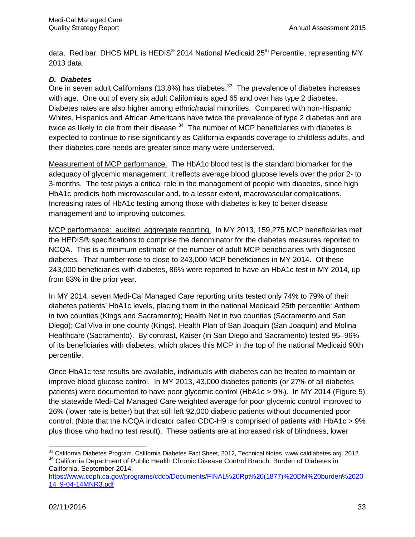data. Red bar: DHCS MPL is HEDIS<sup>®</sup> 2014 National Medicaid 25<sup>th</sup> Percentile, representing MY 2013 data.

#### *D. Diabetes*

One in seven adult Californians (13.8%) has diabetes.<sup>[33](#page-39-0)</sup> The prevalence of diabetes increases with age. One out of every six adult Californians aged 65 and over has type 2 diabetes. Diabetes rates are also higher among ethnic/racial minorities. Compared with non-Hispanic Whites, Hispanics and African Americans have twice the prevalence of type 2 diabetes and are twice as likely to die from their disease. $34$  The number of MCP beneficiaries with diabetes is expected to continue to rise significantly as California expands coverage to childless adults, and their diabetes care needs are greater since many were underserved.

Measurement of MCP performance. The HbA1c blood test is the standard biomarker for the adequacy of glycemic management; it reflects average blood glucose levels over the prior 2- to 3-months. The test plays a critical role in the management of people with diabetes, since high HbA1c predicts both microvascular and, to a lesser extent, macrovascular complications. Increasing rates of HbA1c testing among those with diabetes is key to better disease management and to improving outcomes.

MCP performance: audited, aggregate reporting. In MY 2013, 159,275 MCP beneficiaries met the HEDIS® specifications to comprise the denominator for the diabetes measures reported to NCQA. This is a minimum estimate of the number of adult MCP beneficiaries with diagnosed diabetes. That number rose to close to 243,000 MCP beneficiaries in MY 2014. Of these 243,000 beneficiaries with diabetes, 86% were reported to have an HbA1c test in MY 2014, up from 83% in the prior year.

In MY 2014, seven Medi-Cal Managed Care reporting units tested only 74% to 79% of their diabetes patients' HbA1c levels, placing them in the national Medicaid 25th percentile: Anthem in two counties (Kings and Sacramento); Health Net in two counties (Sacramento and San Diego); Cal Viva in one county (Kings), Health Plan of San Joaquin (San Joaquin) and Molina Healthcare (Sacramento). By contrast, Kaiser (in San Diego and Sacramento) tested 95–96% of its beneficiaries with diabetes, which places this MCP in the top of the national Medicaid 90th percentile.

Once HbA1c test results are available, individuals with diabetes can be treated to maintain or improve blood glucose control. In MY 2013, 43,000 diabetes patients (or 27% of all diabetes patients) were documented to have poor glycemic control (HbA1c > 9%). In MY 2014 (Figure 5) the statewide Medi-Cal Managed Care weighted average for poor glycemic control improved to 26% (lower rate is better) but that still left 92,000 diabetic patients without documented poor control. (Note that the NCQA indicator called CDC-H9 is comprised of patients with HbA1c > 9% plus those who had no test result). These patients are at increased risk of blindness, lower

<span id="page-39-1"></span><span id="page-39-0"></span> $\overline{\phantom{a}}$  $^{33}$  California Diabetes Program. California Diabetes Fact Sheet, 2012, Technical Notes. www.caldiabetes.org. 2012. 34 California Department of Public Health Chronic Disease Control Branch. Burden of Diabetes in California. September 2014.

[https://www.cdph.ca.gov/programs/cdcb/Documents/FINAL%20Rpt%20\(1877\)%20DM%20burden%2020](https://www.cdph.ca.gov/programs/cdcb/Documents/FINAL%20Rpt%20(1877)%20DM%20burden%202014_9-04-14MNR3.pdf) [14\\_9-04-14MNR3.pdf](https://www.cdph.ca.gov/programs/cdcb/Documents/FINAL%20Rpt%20(1877)%20DM%20burden%202014_9-04-14MNR3.pdf)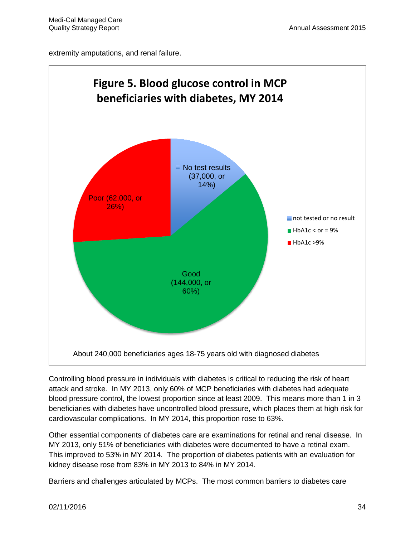extremity amputations, and renal failure.



Controlling blood pressure in individuals with diabetes is critical to reducing the risk of heart attack and stroke. In MY 2013, only 60% of MCP beneficiaries with diabetes had adequate blood pressure control, the lowest proportion since at least 2009. This means more than 1 in 3 beneficiaries with diabetes have uncontrolled blood pressure, which places them at high risk for cardiovascular complications. In MY 2014, this proportion rose to 63%.

Other essential components of diabetes care are examinations for retinal and renal disease. In MY 2013, only 51% of beneficiaries with diabetes were documented to have a retinal exam. This improved to 53% in MY 2014. The proportion of diabetes patients with an evaluation for kidney disease rose from 83% in MY 2013 to 84% in MY 2014.

Barriers and challenges articulated by MCPs. The most common barriers to diabetes care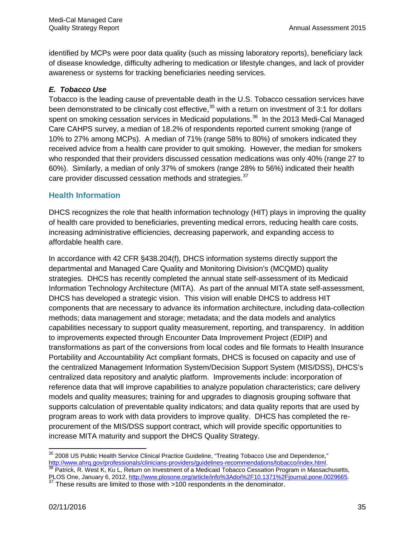identified by MCPs were poor data quality (such as missing laboratory reports), beneficiary lack of disease knowledge, difficulty adhering to medication or lifestyle changes, and lack of provider awareness or systems for tracking beneficiaries needing services.

#### *E. Tobacco Use*

Tobacco is the leading cause of preventable death in the U.S. Tobacco cessation services have been demonstrated to be clinically cost effective,  $35$  with a return on investment of 3:1 for dollars spent on smoking cessation services in Medicaid populations.<sup>36</sup> In the 2013 Medi-Cal Managed Care CAHPS survey, a median of 18.2% of respondents reported current smoking (range of 10% to 27% among MCPs). A median of 71% (range 58% to 80%) of smokers indicated they received advice from a health care provider to quit smoking. However, the median for smokers who responded that their providers discussed cessation medications was only 40% (range 27 to 60%). Similarly, a median of only 37% of smokers (range 28% to 56%) indicated their health care provider discussed cessation methods and strategies.<sup>[37](#page-41-2)</sup>

## **Health Information**

DHCS recognizes the role that health information technology (HIT) plays in improving the quality of health care provided to beneficiaries, preventing medical errors, reducing health care costs, increasing administrative efficiencies, decreasing paperwork, and expanding access to affordable health care.

In accordance with 42 CFR §438.204(f), DHCS information systems directly support the departmental and Managed Care Quality and Monitoring Division's (MCQMD) quality strategies. DHCS has recently completed the annual state self-assessment of its Medicaid Information Technology Architecture (MITA). As part of the annual MITA state self-assessment, DHCS has developed a strategic vision. This vision will enable DHCS to address HIT components that are necessary to advance its information architecture, including data-collection methods; data management and storage; metadata; and the data models and analytics capabilities necessary to support quality measurement, reporting, and transparency. In addition to improvements expected through Encounter Data Improvement Project (EDIP) and transformations as part of the conversions from local codes and file formats to Health Insurance Portability and Accountability Act compliant formats, DHCS is focused on capacity and use of the centralized Management Information System/Decision Support System (MIS/DSS), DHCS's centralized data repository and analytic platform. Improvements include: incorporation of reference data that will improve capabilities to analyze population characteristics; care delivery models and quality measures; training for and upgrades to diagnosis grouping software that supports calculation of preventable quality indicators; and data quality reports that are used by program areas to work with data providers to improve quality. DHCS has completed the reprocurement of the MIS/DSS support contract, which will provide specific opportunities to increase MITA maturity and support the DHCS Quality Strategy.

<span id="page-41-0"></span> $\overline{\phantom{a}}$  $35$  2008 US Public Health Service Clinical Practice Guideline, "Treating Tobacco Use and Dependence," [http://www.ahrq.gov/professionals/clinicians-providers/guidelines-recommendations/tobacco/index.html.](http://www.ahrq.gov/professionals/clinicians-providers/guidelines-recommendations/tobacco/index.html)<br><sup>[36](http://www.ahrq.gov/professionals/clinicians-providers/guidelines-recommendations/tobacco/index.html)</sup> Patrick, R. West K, Ku L, Return on Investment of a Medicaid Tobacco Cessation Program in Massachusetts,

<span id="page-41-2"></span><span id="page-41-1"></span>PLOS One, January 6, 2012, [http://www.plosone.org/article/info%3Adoi%2F10.1371%2Fjournal.pone.0029665.](http://www.plosone.org/article/info%3Adoi%2F10.1371%2Fjournal.pone.0029665)<br><sup>37</sup> These results are limited to those with >100 respondents in the denominator.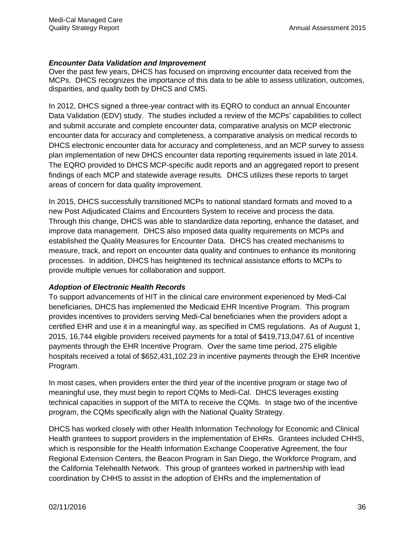#### *Encounter Data Validation and Improvement*

Over the past few years, DHCS has focused on improving encounter data received from the MCPs. DHCS recognizes the importance of this data to be able to assess utilization, outcomes, disparities, and quality both by DHCS and CMS.

In 2012, DHCS signed a three-year contract with its EQRO to conduct an annual Encounter Data Validation (EDV) study. The studies included a review of the MCPs' capabilities to collect and submit accurate and complete encounter data, comparative analysis on MCP electronic encounter data for accuracy and completeness, a comparative analysis on medical records to DHCS electronic encounter data for accuracy and completeness, and an MCP survey to assess plan implementation of new DHCS encounter data reporting requirements issued in late 2014. The EQRO provided to DHCS MCP-specific audit reports and an aggregated report to present findings of each MCP and statewide average results. DHCS utilizes these reports to target areas of concern for data quality improvement.

In 2015, DHCS successfully transitioned MCPs to national standard formats and moved to a new Post Adjudicated Claims and Encounters System to receive and process the data. Through this change, DHCS was able to standardize data reporting, enhance the dataset, and improve data management. DHCS also imposed data quality requirements on MCPs and established the Quality Measures for Encounter Data. DHCS has created mechanisms to measure, track, and report on encounter data quality and continues to enhance its monitoring processes. In addition, DHCS has heightened its technical assistance efforts to MCPs to provide multiple venues for collaboration and support.

#### *Adoption of Electronic Health Records*

To support advancements of HIT in the clinical care environment experienced by Medi-Cal beneficiaries, DHCS has implemented the Medicaid EHR Incentive Program. This program provides incentives to providers serving Medi-Cal beneficiaries when the providers adopt a certified EHR and use it in a meaningful way, as specified in CMS regulations. As of August 1, 2015, 16,744 eligible providers received payments for a total of \$419,713,047.61 of incentive payments through the EHR Incentive Program. Over the same time period, 275 eligible hospitals received a total of \$652,431,102.23 in incentive payments through the EHR Incentive Program.

In most cases, when providers enter the third year of the incentive program or stage two of meaningful use, they must begin to report CQMs to Medi-Cal. DHCS leverages existing technical capacities in support of the MITA to receive the CQMs. In stage two of the incentive program, the CQMs specifically align with the National Quality Strategy.

DHCS has worked closely with other Health Information Technology for Economic and Clinical Health grantees to support providers in the implementation of EHRs. Grantees included CHHS, which is responsible for the Health Information Exchange Cooperative Agreement, the four Regional Extension Centers, the Beacon Program in San Diego, the Workforce Program, and the California Telehealth Network. This group of grantees worked in partnership with lead coordination by CHHS to assist in the adoption of EHRs and the implementation of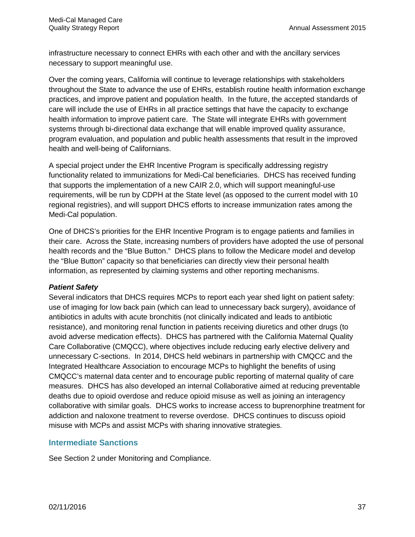infrastructure necessary to connect EHRs with each other and with the ancillary services necessary to support meaningful use.

Over the coming years, California will continue to leverage relationships with stakeholders throughout the State to advance the use of EHRs, establish routine health information exchange practices, and improve patient and population health. In the future, the accepted standards of care will include the use of EHRs in all practice settings that have the capacity to exchange health information to improve patient care. The State will integrate EHRs with government systems through bi-directional data exchange that will enable improved quality assurance, program evaluation, and population and public health assessments that result in the improved health and well-being of Californians.

A special project under the EHR Incentive Program is specifically addressing registry functionality related to immunizations for Medi-Cal beneficiaries. DHCS has received funding that supports the implementation of a new CAIR 2.0, which will support meaningful-use requirements, will be run by CDPH at the State level (as opposed to the current model with 10 regional registries), and will support DHCS efforts to increase immunization rates among the Medi-Cal population.

One of DHCS's priorities for the EHR Incentive Program is to engage patients and families in their care. Across the State, increasing numbers of providers have adopted the use of personal health records and the "Blue Button." DHCS plans to follow the Medicare model and develop the "Blue Button" capacity so that beneficiaries can directly view their personal health information, as represented by claiming systems and other reporting mechanisms.

#### *Patient Safety*

Several indicators that DHCS requires MCPs to report each year shed light on patient safety: use of imaging for low back pain (which can lead to unnecessary back surgery), avoidance of antibiotics in adults with acute bronchitis (not clinically indicated and leads to antibiotic resistance), and monitoring renal function in patients receiving diuretics and other drugs (to avoid adverse medication effects). DHCS has partnered with the California Maternal Quality Care Collaborative (CMQCC), where objectives include reducing early elective delivery and unnecessary C-sections. In 2014, DHCS held webinars in partnership with CMQCC and the Integrated Healthcare Association to encourage MCPs to highlight the benefits of using CMQCC's maternal data center and to encourage public reporting of maternal quality of care measures. DHCS has also developed an internal Collaborative aimed at reducing preventable deaths due to opioid overdose and reduce opioid misuse as well as joining an interagency collaborative with similar goals. DHCS works to increase access to buprenorphine treatment for addiction and naloxone treatment to reverse overdose. DHCS continues to discuss opioid misuse with MCPs and assist MCPs with sharing innovative strategies.

#### **Intermediate Sanctions**

See Section 2 under Monitoring and Compliance.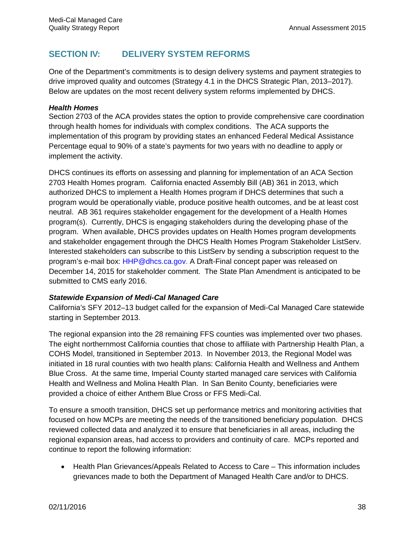# **SECTION IV: DELIVERY SYSTEM REFORMS**

One of the Department's commitments is to design delivery systems and payment strategies to drive improved quality and outcomes (Strategy 4.1 in the DHCS Strategic Plan, 2013–2017). Below are updates on the most recent delivery system reforms implemented by DHCS.

#### *Health Homes*

Section 2703 of the ACA provides states the option to provide comprehensive care coordination through health homes for individuals with complex conditions. The ACA supports the implementation of this program by providing states an enhanced Federal Medical Assistance Percentage equal to 90% of a state's payments for two years with no deadline to apply or implement the activity.

DHCS continues its efforts on assessing and planning for implementation of an ACA Section 2703 Health Homes program. California enacted Assembly Bill (AB) 361 in 2013, which authorized DHCS to implement a Health Homes program if DHCS determines that such a program would be operationally viable, produce positive health outcomes, and be at least cost neutral. AB 361 requires stakeholder engagement for the development of a Health Homes program(s). Currently, DHCS is engaging stakeholders during the developing phase of the program. When available, DHCS provides updates on Health Homes program developments and stakeholder engagement through the DHCS Health Homes Program Stakeholder ListServ. Interested stakeholders can subscribe to this ListServ by sending a subscription request to the program's e-mail box: [HHP@dhcs.ca.gov.](mailto:HHP@dhcs.ca.gov) A Draft-Final concept paper was released on December 14, 2015 for stakeholder comment. The State Plan Amendment is anticipated to be submitted to CMS early 2016.

#### *Statewide Expansion of Medi-Cal Managed Care*

California's SFY 2012–13 budget called for the expansion of Medi-Cal Managed Care statewide starting in September 2013.

The regional expansion into the 28 remaining FFS counties was implemented over two phases. The eight northernmost California counties that chose to affiliate with Partnership Health Plan, a COHS Model, transitioned in September 2013. In November 2013, the Regional Model was initiated in 18 rural counties with two health plans: California Health and Wellness and Anthem Blue Cross. At the same time, Imperial County started managed care services with California Health and Wellness and Molina Health Plan. In San Benito County, beneficiaries were provided a choice of either Anthem Blue Cross or FFS Medi-Cal.

To ensure a smooth transition, DHCS set up performance metrics and monitoring activities that focused on how MCPs are meeting the needs of the transitioned beneficiary population. DHCS reviewed collected data and analyzed it to ensure that beneficiaries in all areas, including the regional expansion areas, had access to providers and continuity of care. MCPs reported and continue to report the following information:

• Health Plan Grievances/Appeals Related to Access to Care – This information includes grievances made to both the Department of Managed Health Care and/or to DHCS.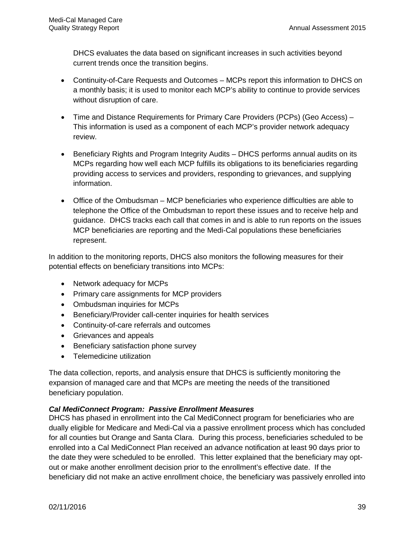DHCS evaluates the data based on significant increases in such activities beyond current trends once the transition begins.

- Continuity-of-Care Requests and Outcomes MCPs report this information to DHCS on a monthly basis; it is used to monitor each MCP's ability to continue to provide services without disruption of care.
- Time and Distance Requirements for Primary Care Providers (PCPs) (Geo Access) This information is used as a component of each MCP's provider network adequacy review.
- Beneficiary Rights and Program Integrity Audits DHCS performs annual audits on its MCPs regarding how well each MCP fulfills its obligations to its beneficiaries regarding providing access to services and providers, responding to grievances, and supplying information.
- Office of the Ombudsman MCP beneficiaries who experience difficulties are able to telephone the Office of the Ombudsman to report these issues and to receive help and guidance. DHCS tracks each call that comes in and is able to run reports on the issues MCP beneficiaries are reporting and the Medi-Cal populations these beneficiaries represent.

In addition to the monitoring reports, DHCS also monitors the following measures for their potential effects on beneficiary transitions into MCPs:

- Network adequacy for MCPs
- Primary care assignments for MCP providers
- Ombudsman inquiries for MCPs
- Beneficiary/Provider call-center inquiries for health services
- Continuity-of-care referrals and outcomes
- Grievances and appeals
- Beneficiary satisfaction phone survey
- Telemedicine utilization

The data collection, reports, and analysis ensure that DHCS is sufficiently monitoring the expansion of managed care and that MCPs are meeting the needs of the transitioned beneficiary population.

#### *Cal MediConnect Program: Passive Enrollment Measures*

DHCS has phased in enrollment into the Cal MediConnect program for beneficiaries who are dually eligible for Medicare and Medi-Cal via a passive enrollment process which has concluded for all counties but Orange and Santa Clara. During this process, beneficiaries scheduled to be enrolled into a Cal MediConnect Plan received an advance notification at least 90 days prior to the date they were scheduled to be enrolled. This letter explained that the beneficiary may optout or make another enrollment decision prior to the enrollment's effective date. If the beneficiary did not make an active enrollment choice, the beneficiary was passively enrolled into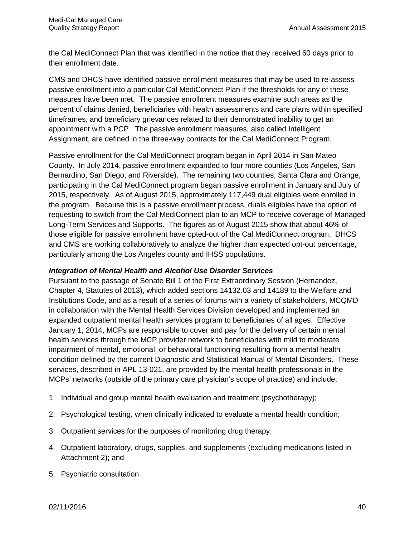the Cal MediConnect Plan that was identified in the notice that they received 60 days prior to their enrollment date.

CMS and DHCS have identified passive enrollment measures that may be used to re-assess passive enrollment into a particular Cal MediConnect Plan if the thresholds for any of these measures have been met. The passive enrollment measures examine such areas as the percent of claims denied, beneficiaries with health assessments and care plans within specified timeframes, and beneficiary grievances related to their demonstrated inability to get an appointment with a PCP. The passive enrollment measures, also called Intelligent Assignment, are defined in the three-way contracts for the Cal MediConnect Program.

Passive enrollment for the Cal MediConnect program began in April 2014 in San Mateo County. In July 2014, passive enrollment expanded to four more counties (Los Angeles, San Bernardino, San Diego, and Riverside). The remaining two counties, Santa Clara and Orange, participating in the Cal MediConnect program began passive enrollment in January and July of 2015, respectively. As of August 2015, approximately 117,449 dual eligibles were enrolled in the program. Because this is a passive enrollment process, duals eligibles have the option of requesting to switch from the Cal MediConnect plan to an MCP to receive coverage of Managed Long-Term Services and Supports. The figures as of August 2015 show that about 46% of those eligible for passive enrollment have opted-out of the Cal MediConnect program. DHCS and CMS are working collaboratively to analyze the higher than expected opt-out percentage, particularly among the Los Angeles county and IHSS populations.

#### *Integration of Mental Health and Alcohol Use Disorder Services*

Pursuant to the passage of Senate Bill 1 of the First Extraordinary Session (Hernandez, Chapter 4, Statutes of 2013), which added sections 14132.03 and 14189 to the Welfare and Institutions Code, and as a result of a series of forums with a variety of stakeholders, MCQMD in collaboration with the Mental Health Services Division developed and implemented an expanded outpatient mental health services program to beneficiaries of all ages. Effective January 1, 2014, MCPs are responsible to cover and pay for the delivery of certain mental health services through the MCP provider network to beneficiaries with mild to moderate impairment of mental, emotional, or behavioral functioning resulting from a mental health condition defined by the current Diagnostic and Statistical Manual of Mental Disorders. These services, described in APL 13-021, are provided by the mental health professionals in the MCPs' networks (outside of the primary care physician's scope of practice) and include:

- 1. Individual and group mental health evaluation and treatment (psychotherapy);
- 2. Psychological testing, when clinically indicated to evaluate a mental health condition;
- 3. Outpatient services for the purposes of monitoring drug therapy;
- 4. Outpatient laboratory, drugs, supplies, and supplements (excluding medications listed in Attachment 2); and
- 5. Psychiatric consultation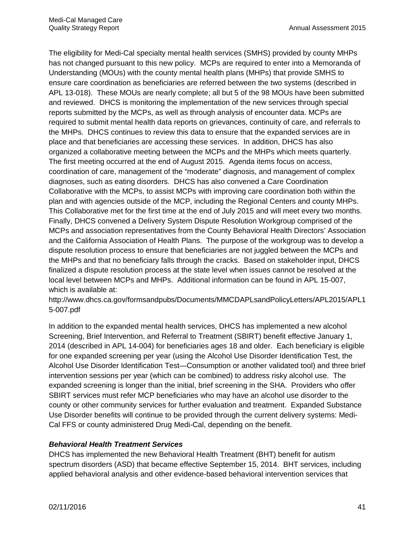The eligibility for Medi-Cal specialty mental health services (SMHS) provided by county MHPs has not changed pursuant to this new policy. MCPs are required to enter into a Memoranda of Understanding (MOUs) with the county mental health plans (MHPs) that provide SMHS to ensure care coordination as beneficiaries are referred between the two systems (described in APL 13-018). These MOUs are nearly complete; all but 5 of the 98 MOUs have been submitted and reviewed. DHCS is monitoring the implementation of the new services through special reports submitted by the MCPs, as well as through analysis of encounter data. MCPs are required to submit mental health data reports on grievances, continuity of care, and referrals to the MHPs. DHCS continues to review this data to ensure that the expanded services are in place and that beneficiaries are accessing these services. In addition, DHCS has also organized a collaborative meeting between the MCPs and the MHPs which meets quarterly. The first meeting occurred at the end of August 2015. Agenda items focus on access, coordination of care, management of the "moderate" diagnosis, and management of complex diagnoses, such as eating disorders. DHCS has also convened a Care Coordination Collaborative with the MCPs, to assist MCPs with improving care coordination both within the plan and with agencies outside of the MCP, including the Regional Centers and county MHPs. This Collaborative met for the first time at the end of July 2015 and will meet every two months. Finally, DHCS convened a Delivery System Dispute Resolution Workgroup comprised of the MCPs and association representatives from the County Behavioral Health Directors' Association and the California Association of Health Plans. The purpose of the workgroup was to develop a dispute resolution process to ensure that beneficiaries are not juggled between the MCPs and the MHPs and that no beneficiary falls through the cracks. Based on stakeholder input, DHCS finalized a dispute resolution process at the state level when issues cannot be resolved at the local level between MCPs and MHPs. Additional information can be found in APL 15-007, which is available at:

http://www.dhcs.ca.gov/formsandpubs/Documents/MMCDAPLsandPolicyLetters/APL2015/APL1 5-007.pdf

In addition to the expanded mental health services, DHCS has implemented a new alcohol Screening, Brief Intervention, and Referral to Treatment (SBIRT) benefit effective January 1, 2014 (described in APL 14-004) for beneficiaries ages 18 and older. Each beneficiary is eligible for one expanded screening per year (using the Alcohol Use Disorder Identification Test, the Alcohol Use Disorder Identification Test—Consumption or another validated tool) and three brief intervention sessions per year (which can be combined) to address risky alcohol use. The expanded screening is longer than the initial, brief screening in the SHA. Providers who offer SBIRT services must refer MCP beneficiaries who may have an alcohol use disorder to the county or other community services for further evaluation and treatment. Expanded Substance Use Disorder benefits will continue to be provided through the current delivery systems: Medi-Cal FFS or county administered Drug Medi-Cal, depending on the benefit.

#### *Behavioral Health Treatment Services*

DHCS has implemented the new Behavioral Health Treatment (BHT) benefit for autism spectrum disorders (ASD) that became effective September 15, 2014. BHT services, including applied behavioral analysis and other evidence-based behavioral intervention services that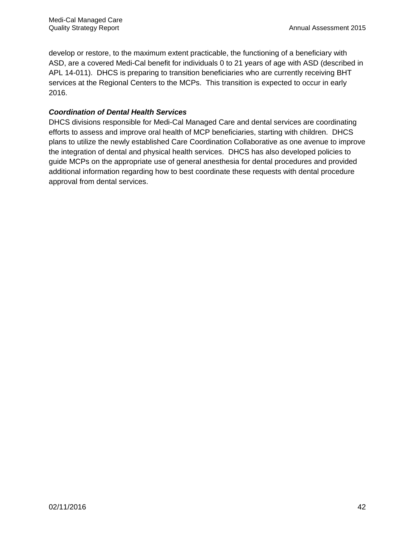develop or restore, to the maximum extent practicable, the functioning of a beneficiary with ASD, are a covered Medi-Cal benefit for individuals 0 to 21 years of age with ASD (described in APL 14-011). DHCS is preparing to transition beneficiaries who are currently receiving BHT services at the Regional Centers to the MCPs. This transition is expected to occur in early 2016.

#### *Coordination of Dental Health Services*

DHCS divisions responsible for Medi-Cal Managed Care and dental services are coordinating efforts to assess and improve oral health of MCP beneficiaries, starting with children. DHCS plans to utilize the newly established Care Coordination Collaborative as one avenue to improve the integration of dental and physical health services. DHCS has also developed policies to guide MCPs on the appropriate use of general anesthesia for dental procedures and provided additional information regarding how to best coordinate these requests with dental procedure approval from dental services.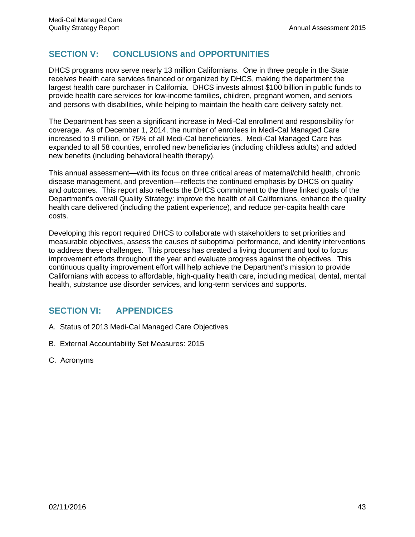# **SECTION V: CONCLUSIONS and OPPORTUNITIES**

DHCS programs now serve nearly 13 million Californians. One in three people in the State receives health care services financed or organized by DHCS, making the department the largest health care purchaser in California. DHCS invests almost \$100 billion in public funds to provide health care services for low-income families, children, pregnant women, and seniors and persons with disabilities, while helping to maintain the health care delivery safety net.

The Department has seen a significant increase in Medi-Cal enrollment and responsibility for coverage. As of December 1, 2014, the number of enrollees in Medi-Cal Managed Care increased to 9 million, or 75% of all Medi-Cal beneficiaries. Medi-Cal Managed Care has expanded to all 58 counties, enrolled new beneficiaries (including childless adults) and added new benefits (including behavioral health therapy).

This annual assessment—with its focus on three critical areas of maternal/child health, chronic disease management, and prevention—reflects the continued emphasis by DHCS on quality and outcomes. This report also reflects the DHCS commitment to the three linked goals of the Department's overall Quality Strategy: improve the health of all Californians, enhance the quality health care delivered (including the patient experience), and reduce per-capita health care costs.

Developing this report required DHCS to collaborate with stakeholders to set priorities and measurable objectives, assess the causes of suboptimal performance, and identify interventions to address these challenges. This process has created a living document and tool to focus improvement efforts throughout the year and evaluate progress against the objectives. This continuous quality improvement effort will help achieve the Department's mission to provide Californians with access to affordable, high-quality health care, including medical, dental, mental health, substance use disorder services, and long-term services and supports.

# **SECTION VI: APPENDICES**

- A. Status of 2013 Medi-Cal Managed Care Objectives
- B. External Accountability Set Measures: 2015
- C. Acronyms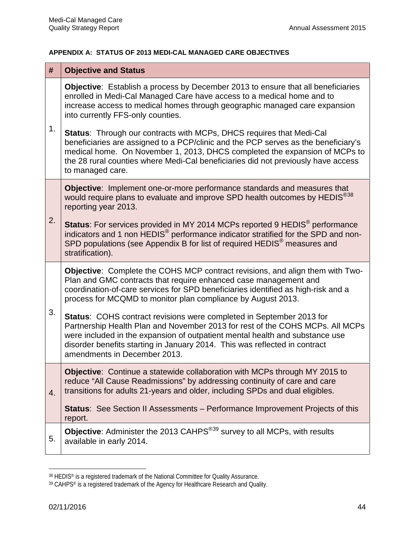#### **APPENDIX A: STATUS OF 2013 MEDI-CAL MANAGED CARE OBJECTIVES**

| #  | <b>Objective and Status</b>                                                                                                                                                                                                                                                                                                                                |
|----|------------------------------------------------------------------------------------------------------------------------------------------------------------------------------------------------------------------------------------------------------------------------------------------------------------------------------------------------------------|
| 1. | <b>Objective:</b> Establish a process by December 2013 to ensure that all beneficiaries<br>enrolled in Medi-Cal Managed Care have access to a medical home and to<br>increase access to medical homes through geographic managed care expansion<br>into currently FFS-only counties.                                                                       |
|    | <b>Status:</b> Through our contracts with MCPs, DHCS requires that Medi-Cal<br>beneficiaries are assigned to a PCP/clinic and the PCP serves as the beneficiary's<br>medical home. On November 1, 2013, DHCS completed the expansion of MCPs to<br>the 28 rural counties where Medi-Cal beneficiaries did not previously have access<br>to managed care.   |
| 2. | <b>Objective:</b> Implement one-or-more performance standards and measures that<br>would require plans to evaluate and improve SPD health outcomes by HEDIS <sup>®38</sup><br>reporting year 2013.                                                                                                                                                         |
|    | <b>Status:</b> For services provided in MY 2014 MCPs reported 9 HEDIS <sup>®</sup> performance<br>indicators and 1 non HEDIS <sup>®</sup> performance indicator stratified for the SPD and non-<br>SPD populations (see Appendix B for list of required HEDIS <sup>®</sup> measures and<br>stratification).                                                |
| 3. | <b>Objective:</b> Complete the COHS MCP contract revisions, and align them with Two-<br>Plan and GMC contracts that require enhanced case management and<br>coordination-of-care services for SPD beneficiaries identified as high-risk and a<br>process for MCQMD to monitor plan compliance by August 2013.                                              |
|    | <b>Status: COHS contract revisions were completed in September 2013 for</b><br>Partnership Health Plan and November 2013 for rest of the COHS MCPs. All MCPs<br>were included in the expansion of outpatient mental health and substance use<br>disorder benefits starting in January 2014. This was reflected in contract<br>amendments in December 2013. |
| 4. | <b>Objective:</b> Continue a statewide collaboration with MCPs through MY 2015 to<br>reduce "All Cause Readmissions" by addressing continuity of care and care<br>transitions for adults 21-years and older, including SPDs and dual eligibles.                                                                                                            |
|    | <b>Status:</b> See Section II Assessments – Performance Improvement Projects of this<br>report.                                                                                                                                                                                                                                                            |
| 5. | <b>Objective:</b> Administer the 2013 CAHPS <sup>®39</sup> survey to all MCPs, with results<br>available in early 2014.                                                                                                                                                                                                                                    |

<span id="page-50-0"></span><sup>&</sup>lt;sup>38</sup> HEDIS® is a registered trademark of the National Committee for Quality Assurance.

 $\overline{\phantom{a}}$ 

<span id="page-50-1"></span><sup>39</sup> CAHPS® is a registered trademark of the Agency for Healthcare Research and Quality.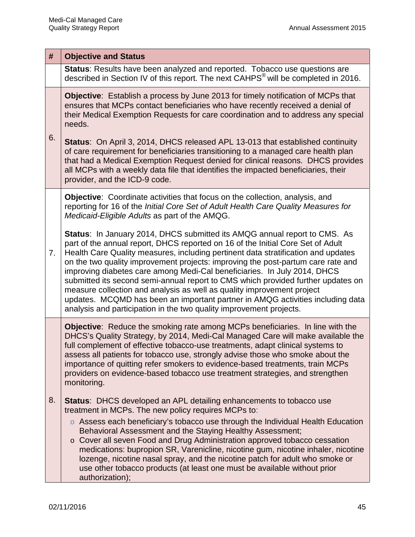|    | #  | <b>Objective and Status</b>                                                                                                                                                                                                                                                                                                                                                                                                                                                                                                                                                                                                                                                                                                                     |  |  |
|----|----|-------------------------------------------------------------------------------------------------------------------------------------------------------------------------------------------------------------------------------------------------------------------------------------------------------------------------------------------------------------------------------------------------------------------------------------------------------------------------------------------------------------------------------------------------------------------------------------------------------------------------------------------------------------------------------------------------------------------------------------------------|--|--|
|    |    | Status: Results have been analyzed and reported. Tobacco use questions are<br>described in Section IV of this report. The next CAHPS <sup>®</sup> will be completed in 2016.                                                                                                                                                                                                                                                                                                                                                                                                                                                                                                                                                                    |  |  |
| 6. |    | <b>Objective:</b> Establish a process by June 2013 for timely notification of MCPs that<br>ensures that MCPs contact beneficiaries who have recently received a denial of<br>their Medical Exemption Requests for care coordination and to address any special<br>needs.                                                                                                                                                                                                                                                                                                                                                                                                                                                                        |  |  |
|    |    | Status: On April 3, 2014, DHCS released APL 13-013 that established continuity<br>of care requirement for beneficiaries transitioning to a managed care health plan<br>that had a Medical Exemption Request denied for clinical reasons. DHCS provides<br>all MCPs with a weekly data file that identifies the impacted beneficiaries, their<br>provider, and the ICD-9 code.                                                                                                                                                                                                                                                                                                                                                                   |  |  |
|    |    | <b>Objective:</b> Coordinate activities that focus on the collection, analysis, and<br>reporting for 16 of the Initial Core Set of Adult Health Care Quality Measures for<br>Medicaid-Eligible Adults as part of the AMQG.                                                                                                                                                                                                                                                                                                                                                                                                                                                                                                                      |  |  |
| 7. |    | <b>Status:</b> In January 2014, DHCS submitted its AMQG annual report to CMS. As<br>part of the annual report, DHCS reported on 16 of the Initial Core Set of Adult<br>Health Care Quality measures, including pertinent data stratification and updates<br>on the two quality improvement projects: improving the post-partum care rate and<br>improving diabetes care among Medi-Cal beneficiaries. In July 2014, DHCS<br>submitted its second semi-annual report to CMS which provided further updates on<br>measure collection and analysis as well as quality improvement project<br>updates. MCQMD has been an important partner in AMQG activities including data<br>analysis and participation in the two quality improvement projects. |  |  |
|    |    | Objective: Reduce the smoking rate among MCPs beneficiaries. In line with the<br>DHCS's Quality Strategy, by 2014, Medi-Cal Managed Care will make available the<br>full complement of effective tobacco-use treatments, adapt clinical systems to<br>assess all patients for tobacco use, strongly advise those who smoke about the<br>importance of quitting refer smokers to evidence-based treatments, train MCPs<br>providers on evidence-based tobacco use treatment strategies, and strengthen<br>monitoring.                                                                                                                                                                                                                            |  |  |
|    | 8. | <b>Status:</b> DHCS developed an APL detailing enhancements to tobacco use<br>treatment in MCPs. The new policy requires MCPs to:                                                                                                                                                                                                                                                                                                                                                                                                                                                                                                                                                                                                               |  |  |
|    |    | $\circ$ Assess each beneficiary's tobacco use through the Individual Health Education<br>Behavioral Assessment and the Staying Healthy Assessment;<br>Cover all seven Food and Drug Administration approved tobacco cessation<br>$\circ$<br>medications: bupropion SR, Varenicline, nicotine gum, nicotine inhaler, nicotine<br>lozenge, nicotine nasal spray, and the nicotine patch for adult who smoke or<br>use other tobacco products (at least one must be available without prior<br>authorization);                                                                                                                                                                                                                                     |  |  |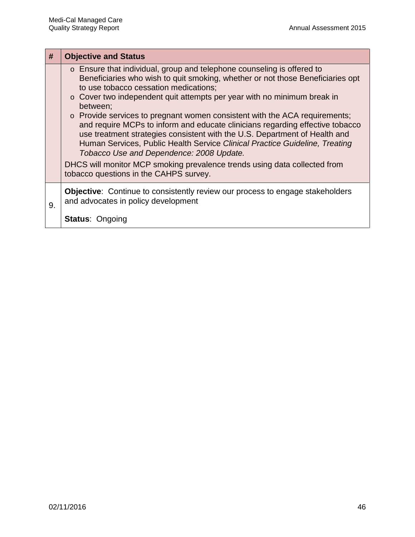| $\#$ | <b>Objective and Status</b>                                                                                                                                                                                                                                                                                                                                                                                                                                                                                                                                                                                                                                                                                                                                                                         |
|------|-----------------------------------------------------------------------------------------------------------------------------------------------------------------------------------------------------------------------------------------------------------------------------------------------------------------------------------------------------------------------------------------------------------------------------------------------------------------------------------------------------------------------------------------------------------------------------------------------------------------------------------------------------------------------------------------------------------------------------------------------------------------------------------------------------|
|      | o Ensure that individual, group and telephone counseling is offered to<br>Beneficiaries who wish to quit smoking, whether or not those Beneficiaries opt<br>to use tobacco cessation medications;<br>$\circ$ Cover two independent quit attempts per year with no minimum break in<br>between;<br>$\circ$ Provide services to pregnant women consistent with the ACA requirements;<br>and require MCPs to inform and educate clinicians regarding effective tobacco<br>use treatment strategies consistent with the U.S. Department of Health and<br>Human Services, Public Health Service Clinical Practice Guideline, Treating<br>Tobacco Use and Dependence: 2008 Update.<br>DHCS will monitor MCP smoking prevalence trends using data collected from<br>tobacco questions in the CAHPS survey. |
| 9.   | Objective: Continue to consistently review our process to engage stakeholders<br>and advocates in policy development<br><b>Status: Ongoing</b>                                                                                                                                                                                                                                                                                                                                                                                                                                                                                                                                                                                                                                                      |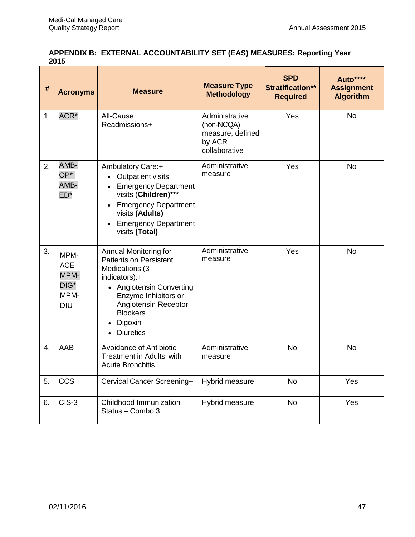#### **APPENDIX B: EXTERNAL ACCOUNTABILITY SET (EAS) MEASURES: Reporting Year 2015**

| #  | <b>Acronyms</b>                                                      | <b>Measure</b>                                                                                                                                                                                                          | <b>Measure Type</b><br><b>Methodology</b>                                   | <b>SPD</b><br><b>Stratification**</b><br><b>Required</b> | Auto****<br><b>Assignment</b><br><b>Algorithm</b> |
|----|----------------------------------------------------------------------|-------------------------------------------------------------------------------------------------------------------------------------------------------------------------------------------------------------------------|-----------------------------------------------------------------------------|----------------------------------------------------------|---------------------------------------------------|
| 1. | ACR*                                                                 | All-Cause<br>Readmissions+                                                                                                                                                                                              | Administrative<br>(non-NCQA)<br>measure, defined<br>by ACR<br>collaborative | Yes                                                      | <b>No</b>                                         |
| 2. | AMB-<br>OP*<br>AMB-<br>$ED*$                                         | Ambulatory Care:+<br><b>Outpatient visits</b><br><b>Emergency Department</b><br>visits (Children)***<br>• Emergency Department<br>visits (Adults)<br><b>Emergency Department</b><br>visits (Total)                      | Administrative<br>measure                                                   | Yes                                                      | <b>No</b>                                         |
| 3. | MPM-<br><b>ACE</b><br>MPM-<br>DIG <sup>*</sup><br>MPM-<br><b>DIU</b> | Annual Monitoring for<br><b>Patients on Persistent</b><br>Medications (3<br>indicators):+<br>• Angiotensin Converting<br>Enzyme Inhibitors or<br>Angiotensin Receptor<br><b>Blockers</b><br>Digoxin<br><b>Diuretics</b> | Administrative<br>measure                                                   | Yes                                                      | <b>No</b>                                         |
| 4. | AAB                                                                  | Avoidance of Antibiotic<br><b>Treatment in Adults with</b><br><b>Acute Bronchitis</b>                                                                                                                                   | Administrative<br>measure                                                   | <b>No</b>                                                | <b>No</b>                                         |
| 5. | <b>CCS</b>                                                           | Cervical Cancer Screening+                                                                                                                                                                                              | Hybrid measure                                                              | <b>No</b>                                                | Yes                                               |
| 6. | CIS-3                                                                | Childhood Immunization<br>Status - Combo 3+                                                                                                                                                                             | Hybrid measure                                                              | <b>No</b>                                                | Yes                                               |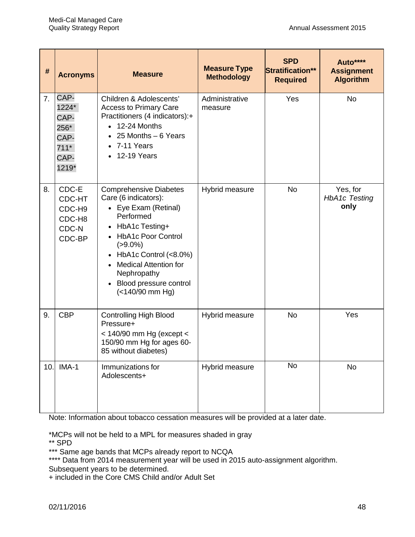| #   | <b>Acronyms</b>                                                  | <b>Measure</b>                                                                                                                                                                                                                                                                                                                                    | <b>Measure Type</b><br><b>Methodology</b> | <b>SPD</b><br>Stratification**<br><b>Required</b> | Auto****<br><b>Assignment</b><br><b>Algorithm</b> |
|-----|------------------------------------------------------------------|---------------------------------------------------------------------------------------------------------------------------------------------------------------------------------------------------------------------------------------------------------------------------------------------------------------------------------------------------|-------------------------------------------|---------------------------------------------------|---------------------------------------------------|
| 7.  | CAP-<br>1224*<br>CAP-<br>256*<br>CAP-<br>$711*$<br>CAP-<br>1219* | Children & Adolescents'<br><b>Access to Primary Care</b><br>Practitioners (4 indicators):+<br>12-24 Months<br>$\bullet$<br>25 Months - 6 Years<br>7-11 Years<br>$\bullet$<br><b>12-19 Years</b><br>$\bullet$                                                                                                                                      | Administrative<br>measure                 | Yes                                               | <b>No</b>                                         |
| 8.  | CDC-E<br>CDC-HT<br>CDC-H9<br>CDC-H8<br>CDC-N<br>CDC-BP           | <b>Comprehensive Diabetes</b><br>Care (6 indicators):<br>• Eye Exam (Retinal)<br>Performed<br>HbA1c Testing+<br>$\bullet$<br><b>HbA1c Poor Control</b><br>$\bullet$<br>$( > 9.0\%)$<br>HbA1c Control (<8.0%)<br>$\bullet$<br><b>Medical Attention for</b><br>$\bullet$<br>Nephropathy<br>Blood pressure control<br>$\bullet$<br>$(<140/90$ mm Hg) | Hybrid measure                            | <b>No</b>                                         | Yes, for<br><b>HbA1c Testing</b><br>only          |
| 9.  | <b>CBP</b>                                                       | <b>Controlling High Blood</b><br>Pressure+<br>$<$ 140/90 mm Hg (except $<$<br>150/90 mm Hg for ages 60-<br>85 without diabetes)                                                                                                                                                                                                                   | Hybrid measure                            | <b>No</b>                                         | Yes                                               |
| 10. | IMA-1                                                            | Immunizations for<br>Adolescents+                                                                                                                                                                                                                                                                                                                 | Hybrid measure                            | <b>No</b>                                         | No                                                |

Note: Information about tobacco cessation measures will be provided at a later date.

\*MCPs will not be held to a MPL for measures shaded in gray

\*\* SPD

\*\*\* Same age bands that MCPs already report to NCQA

\*\*\*\* Data from 2014 measurement year will be used in 2015 auto-assignment algorithm. Subsequent years to be determined.

+ included in the Core CMS Child and/or Adult Set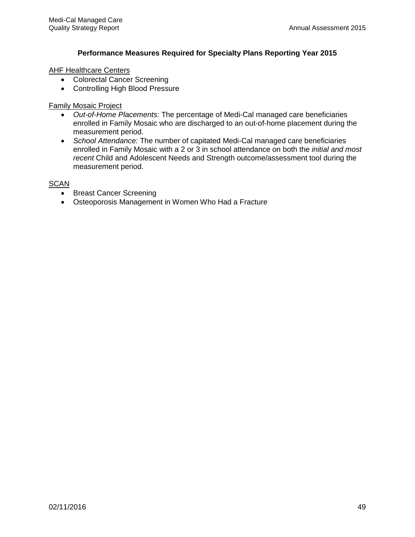#### **Performance Measures Required for Specialty Plans Reporting Year 2015**

#### AHF Healthcare Centers

- Colorectal Cancer Screening
- Controlling High Blood Pressure

#### Family Mosaic Project

- *Out-of-Home Placements:* The percentage of Medi-Cal managed care beneficiaries enrolled in Family Mosaic who are discharged to an out-of-home placement during the measurement period.
- *School Attendance:* The number of capitated Medi-Cal managed care beneficiaries enrolled in Family Mosaic with a 2 or 3 in school attendance on both the *initial and most recent* Child and Adolescent Needs and Strength outcome/assessment tool during the measurement period.

#### **SCAN**

- Breast Cancer Screening
- Osteoporosis Management in Women Who Had a Fracture